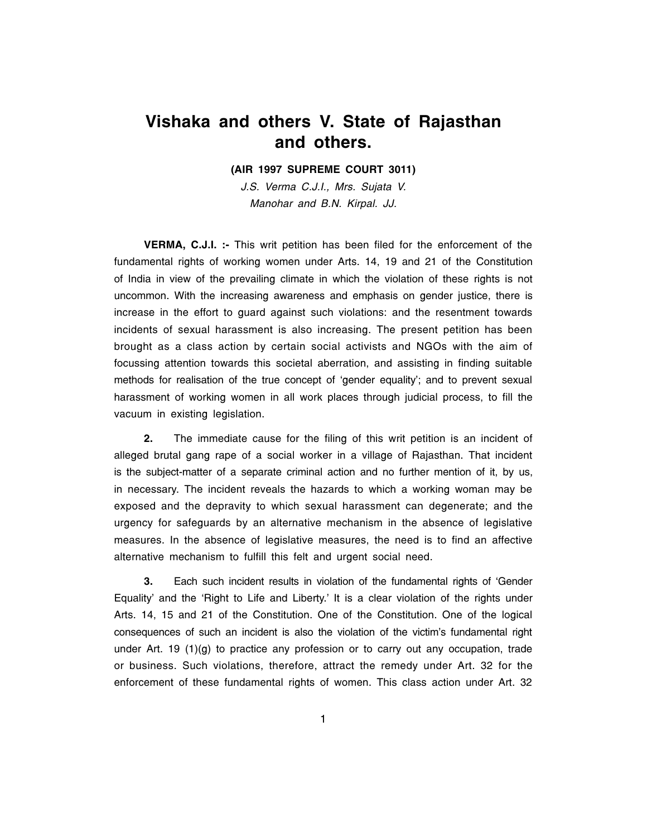# Vishaka and others V. State of Rajasthan and others.

(AIR 1997 SUPREME COURT 3011)

J.S. Verma C.J.I., Mrs. Sujata V. Manohar and B.N. Kirpal. JJ.

VERMA, C.J.I. :- This writ petition has been filed for the enforcement of the fundamental rights of working women under Arts. 14, 19 and 21 of the Constitution of India in view of the prevailing climate in which the violation of these rights is not uncommon. With the increasing awareness and emphasis on gender justice, there is increase in the effort to guard against such violations: and the resentment towards incidents of sexual harassment is also increasing. The present petition has been brought as a class action by certain social activists and NGOs with the aim of focussing attention towards this societal aberration, and assisting in finding suitable methods for realisation of the true concept of gender equality; and to prevent sexual harassment of working women in all work places through judicial process, to fill the vacuum in existing legislation.

2. The immediate cause for the filing of this writ petition is an incident of alleged brutal gang rape of a social worker in a village of Rajasthan. That incident is the subject-matter of a separate criminal action and no further mention of it, by us, in necessary. The incident reveals the hazards to which a working woman may be exposed and the depravity to which sexual harassment can degenerate; and the urgency for safeguards by an alternative mechanism in the absence of legislative measures. In the absence of legislative measures, the need is to find an affective alternative mechanism to fulfill this felt and urgent social need.

3. Each such incident results in violation of the fundamental rights of 'Gender Equality' and the 'Right to Life and Liberty.' It is a clear violation of the rights under Arts. 14, 15 and 21 of the Constitution. One of the Constitution. One of the logical consequences of such an incident is also the violation of the victim's fundamental right under Art. 19  $(1)(g)$  to practice any profession or to carry out any occupation, trade or business. Such violations, therefore, attract the remedy under Art. 32 for the enforcement of these fundamental rights of women. This class action under Art. 32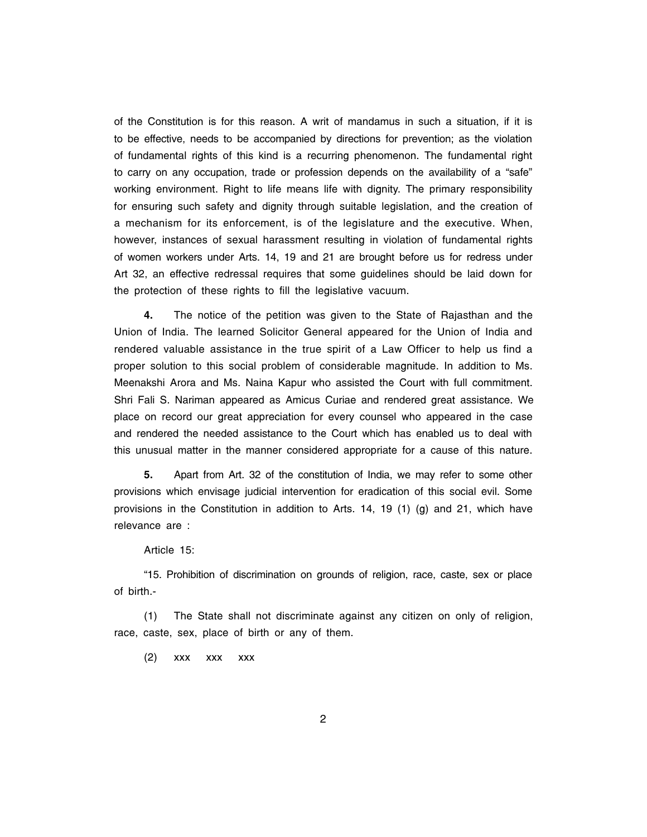of the Constitution is for this reason. A writ of mandamus in such a situation, if it is to be effective, needs to be accompanied by directions for prevention; as the violation of fundamental rights of this kind is a recurring phenomenon. The fundamental right to carry on any occupation, trade or profession depends on the availability of a "safe" working environment. Right to life means life with dignity. The primary responsibility for ensuring such safety and dignity through suitable legislation, and the creation of a mechanism for its enforcement, is of the legislature and the executive. When, however, instances of sexual harassment resulting in violation of fundamental rights of women workers under Arts. 14, 19 and 21 are brought before us for redress under Art 32, an effective redressal requires that some guidelines should be laid down for the protection of these rights to fill the legislative vacuum.

4. The notice of the petition was given to the State of Rajasthan and the Union of India. The learned Solicitor General appeared for the Union of India and rendered valuable assistance in the true spirit of a Law Officer to help us find a proper solution to this social problem of considerable magnitude. In addition to Ms. Meenakshi Arora and Ms. Naina Kapur who assisted the Court with full commitment. Shri Fali S. Nariman appeared as Amicus Curiae and rendered great assistance. We place on record our great appreciation for every counsel who appeared in the case and rendered the needed assistance to the Court which has enabled us to deal with this unusual matter in the manner considered appropriate for a cause of this nature.

5. Apart from Art. 32 of the constitution of India, we may refer to some other provisions which envisage judicial intervention for eradication of this social evil. Some provisions in the Constitution in addition to Arts. 14, 19 (1) (g) and 21, which have relevance are :

Article 15:

15. Prohibition of discrimination on grounds of religion, race, caste, sex or place of birth.-

(1) The State shall not discriminate against any citizen on only of religion, race, caste, sex, place of birth or any of them.

(2) xxx xxx xxx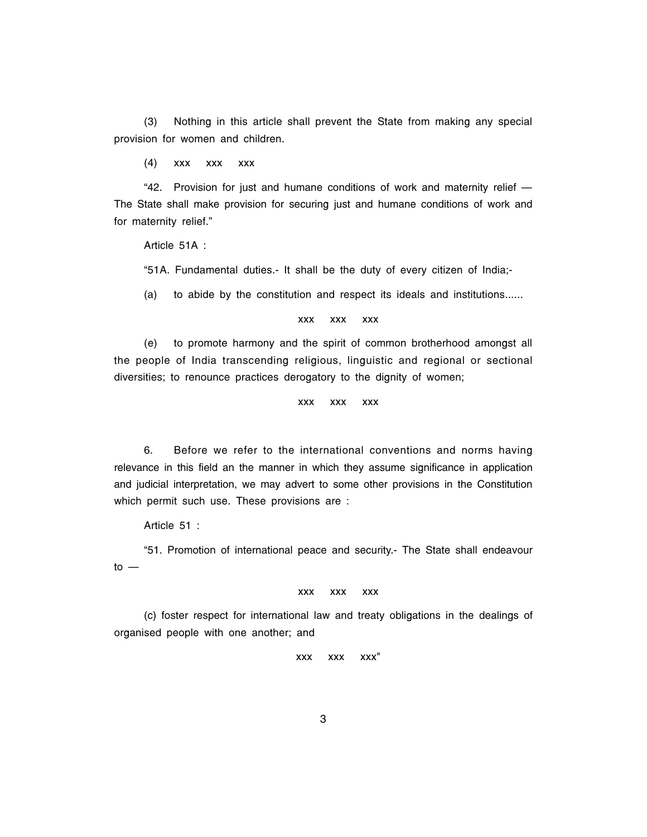(3) Nothing in this article shall prevent the State from making any special provision for women and children.

(4) xxx xxx xxx

42. Provision for just and humane conditions of work and maternity relief The State shall make provision for securing just and humane conditions of work and for maternity relief.

Article 51A :

51A. Fundamental duties.- It shall be the duty of every citizen of India;-

(a) to abide by the constitution and respect its ideals and institutions......

#### xxx xxx xxx

(e) to promote harmony and the spirit of common brotherhood amongst all the people of India transcending religious, linguistic and regional or sectional diversities; to renounce practices derogatory to the dignity of women;

xxx xxx xxx

6. Before we refer to the international conventions and norms having relevance in this field an the manner in which they assume significance in application and judicial interpretation, we may advert to some other provisions in the Constitution which permit such use. These provisions are :

Article 51 :

51. Promotion of international peace and security.- The State shall endeavour  $to -$ 

#### xxx xxx xxx

(c) foster respect for international law and treaty obligations in the dealings of organised people with one another; and

xxx xxx xxx"

3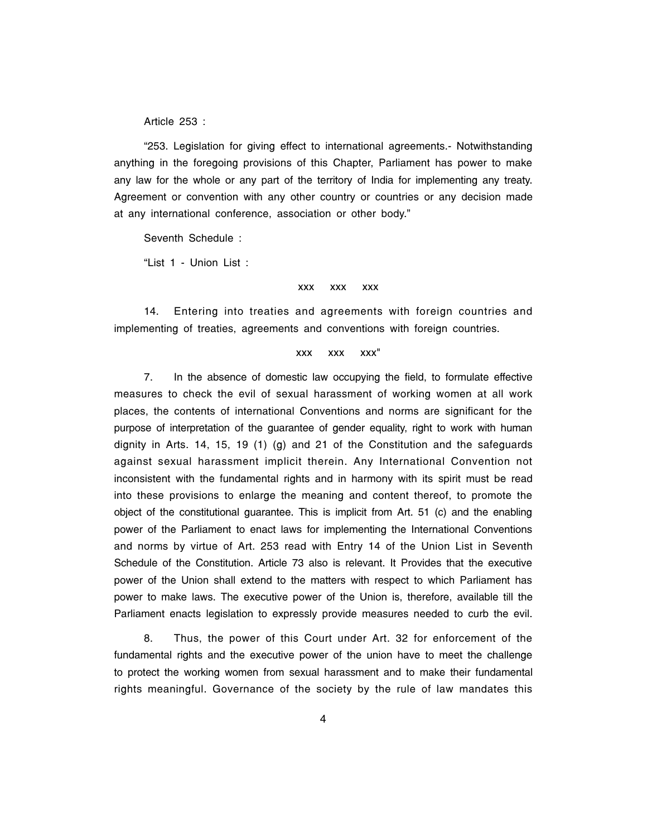Article 253 :

253. Legislation for giving effect to international agreements.- Notwithstanding anything in the foregoing provisions of this Chapter, Parliament has power to make any law for the whole or any part of the territory of India for implementing any treaty. Agreement or convention with any other country or countries or any decision made at any international conference, association or other body.

Seventh Schedule :

List 1 - Union List :

xxx xxx xxx

14. Entering into treaties and agreements with foreign countries and implementing of treaties, agreements and conventions with foreign countries.

#### xxx xxx xxx"

7. In the absence of domestic law occupying the field, to formulate effective measures to check the evil of sexual harassment of working women at all work places, the contents of international Conventions and norms are significant for the purpose of interpretation of the guarantee of gender equality, right to work with human dignity in Arts. 14, 15, 19 (1) (g) and 21 of the Constitution and the safeguards against sexual harassment implicit therein. Any International Convention not inconsistent with the fundamental rights and in harmony with its spirit must be read into these provisions to enlarge the meaning and content thereof, to promote the object of the constitutional guarantee. This is implicit from Art. 51 (c) and the enabling power of the Parliament to enact laws for implementing the International Conventions and norms by virtue of Art. 253 read with Entry 14 of the Union List in Seventh Schedule of the Constitution. Article 73 also is relevant. It Provides that the executive power of the Union shall extend to the matters with respect to which Parliament has power to make laws. The executive power of the Union is, therefore, available till the Parliament enacts legislation to expressly provide measures needed to curb the evil.

8. Thus, the power of this Court under Art. 32 for enforcement of the fundamental rights and the executive power of the union have to meet the challenge to protect the working women from sexual harassment and to make their fundamental rights meaningful. Governance of the society by the rule of law mandates this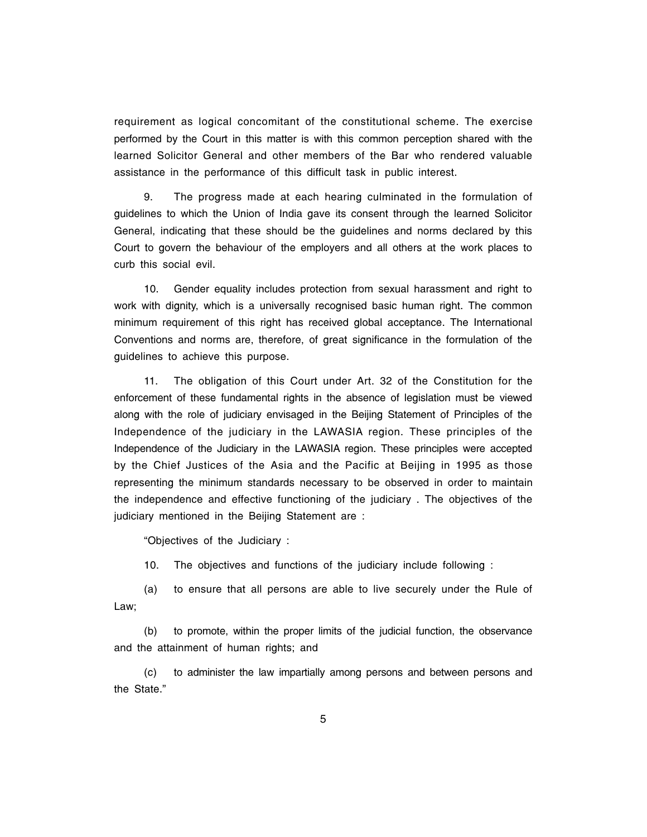requirement as logical concomitant of the constitutional scheme. The exercise performed by the Court in this matter is with this common perception shared with the learned Solicitor General and other members of the Bar who rendered valuable assistance in the performance of this difficult task in public interest.

9. The progress made at each hearing culminated in the formulation of guidelines to which the Union of India gave its consent through the learned Solicitor General, indicating that these should be the guidelines and norms declared by this Court to govern the behaviour of the employers and all others at the work places to curb this social evil.

10. Gender equality includes protection from sexual harassment and right to work with dignity, which is a universally recognised basic human right. The common minimum requirement of this right has received global acceptance. The International Conventions and norms are, therefore, of great significance in the formulation of the guidelines to achieve this purpose.

11. The obligation of this Court under Art. 32 of the Constitution for the enforcement of these fundamental rights in the absence of legislation must be viewed along with the role of judiciary envisaged in the Beijing Statement of Principles of the Independence of the judiciary in the LAWASIA region. These principles of the Independence of the Judiciary in the LAWASIA region. These principles were accepted by the Chief Justices of the Asia and the Pacific at Beijing in 1995 as those representing the minimum standards necessary to be observed in order to maintain the independence and effective functioning of the judiciary . The objectives of the judiciary mentioned in the Beijing Statement are :

Objectives of the Judiciary :

10. The objectives and functions of the judiciary include following :

(a) to ensure that all persons are able to live securely under the Rule of Law;

(b) to promote, within the proper limits of the judicial function, the observance and the attainment of human rights; and

(c) to administer the law impartially among persons and between persons and the State.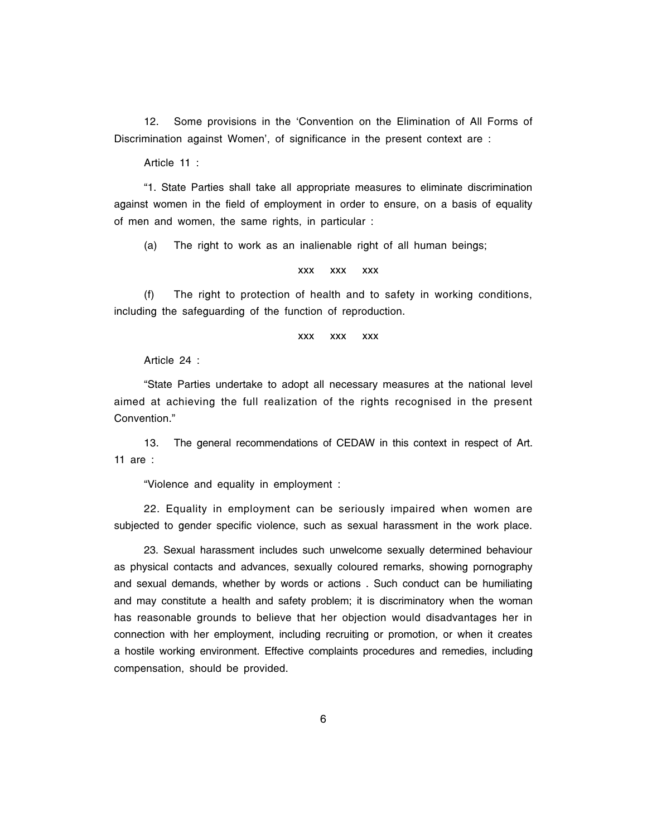12. Some provisions in the Convention on the Elimination of All Forms of Discrimination against Women', of significance in the present context are :

Article 11 :

1. State Parties shall take all appropriate measures to eliminate discrimination against women in the field of employment in order to ensure, on a basis of equality of men and women, the same rights, in particular :

(a) The right to work as an inalienable right of all human beings;

xxx xxx xxx

(f) The right to protection of health and to safety in working conditions, including the safeguarding of the function of reproduction.

xxx xxx xxx

Article 24 :

State Parties undertake to adopt all necessary measures at the national level aimed at achieving the full realization of the rights recognised in the present Convention.

13. The general recommendations of CEDAW in this context in respect of Art. 11 are :

Violence and equality in employment :

22. Equality in employment can be seriously impaired when women are subjected to gender specific violence, such as sexual harassment in the work place.

23. Sexual harassment includes such unwelcome sexually determined behaviour as physical contacts and advances, sexually coloured remarks, showing pornography and sexual demands, whether by words or actions . Such conduct can be humiliating and may constitute a health and safety problem; it is discriminatory when the woman has reasonable grounds to believe that her objection would disadvantages her in connection with her employment, including recruiting or promotion, or when it creates a hostile working environment. Effective complaints procedures and remedies, including compensation, should be provided.

6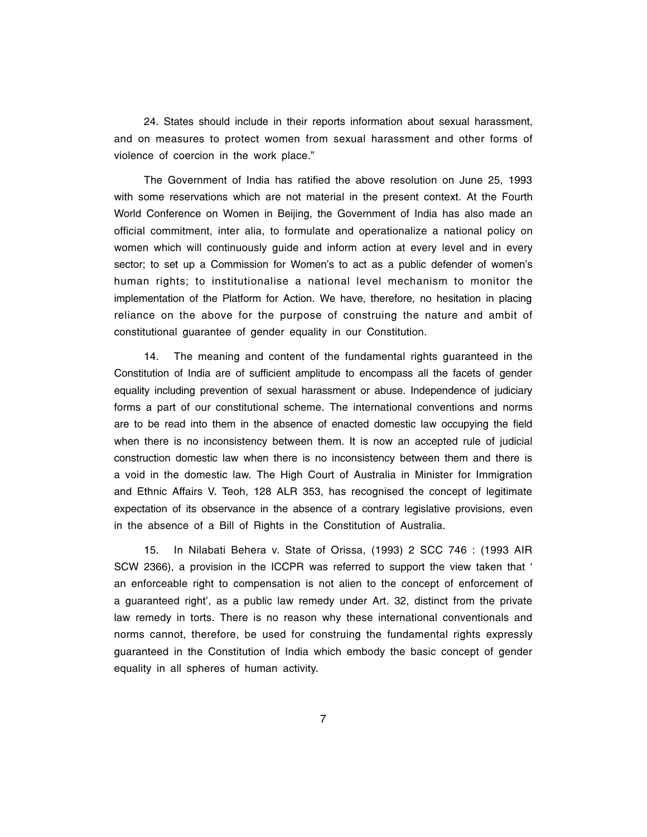24. States should include in their reports information about sexual harassment, and on measures to protect women from sexual harassment and other forms of violence of coercion in the work place.

The Government of India has ratified the above resolution on June 25, 1993 with some reservations which are not material in the present context. At the Fourth World Conference on Women in Beijing, the Government of India has also made an official commitment, inter alia, to formulate and operationalize a national policy on women which will continuously guide and inform action at every level and in every sector; to set up a Commission for Women's to act as a public defender of women's human rights; to institutionalise a national level mechanism to monitor the implementation of the Platform for Action. We have, therefore, no hesitation in placing reliance on the above for the purpose of construing the nature and ambit of constitutional guarantee of gender equality in our Constitution.

14. The meaning and content of the fundamental rights guaranteed in the Constitution of India are of sufficient amplitude to encompass all the facets of gender equality including prevention of sexual harassment or abuse. Independence of judiciary forms a part of our constitutional scheme. The international conventions and norms are to be read into them in the absence of enacted domestic law occupying the field when there is no inconsistency between them. It is now an accepted rule of judicial construction domestic law when there is no inconsistency between them and there is a void in the domestic law. The High Court of Australia in Minister for Immigration and Ethnic Affairs V. Teoh, 128 ALR 353, has recognised the concept of legitimate expectation of its observance in the absence of a contrary legislative provisions, even in the absence of a Bill of Rights in the Constitution of Australia.

15. In Nilabati Behera v. State of Orissa, (1993) 2 SCC 746 : (1993 AIR SCW 2366), a provision in the ICCPR was referred to support the view taken that ' an enforceable right to compensation is not alien to the concept of enforcement of a guaranteed right', as a public law remedy under Art. 32, distinct from the private law remedy in torts. There is no reason why these international conventionals and norms cannot, therefore, be used for construing the fundamental rights expressly guaranteed in the Constitution of India which embody the basic concept of gender equality in all spheres of human activity.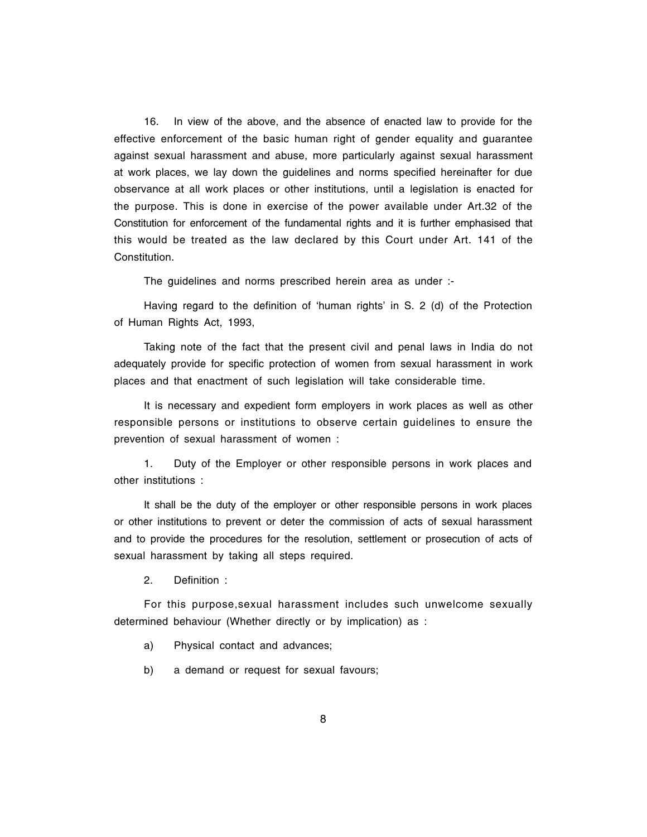16. In view of the above, and the absence of enacted law to provide for the effective enforcement of the basic human right of gender equality and guarantee against sexual harassment and abuse, more particularly against sexual harassment at work places, we lay down the guidelines and norms specified hereinafter for due observance at all work places or other institutions, until a legislation is enacted for the purpose. This is done in exercise of the power available under Art.32 of the Constitution for enforcement of the fundamental rights and it is further emphasised that this would be treated as the law declared by this Court under Art. 141 of the Constitution.

The guidelines and norms prescribed herein area as under :-

Having regard to the definition of 'human rights' in S. 2 (d) of the Protection of Human Rights Act, 1993,

Taking note of the fact that the present civil and penal laws in India do not adequately provide for specific protection of women from sexual harassment in work places and that enactment of such legislation will take considerable time.

It is necessary and expedient form employers in work places as well as other responsible persons or institutions to observe certain guidelines to ensure the prevention of sexual harassment of women :

1. Duty of the Employer or other responsible persons in work places and other institutions :

It shall be the duty of the employer or other responsible persons in work places or other institutions to prevent or deter the commission of acts of sexual harassment and to provide the procedures for the resolution, settlement or prosecution of acts of sexual harassment by taking all steps required.

2. Definition :

For this purpose,sexual harassment includes such unwelcome sexually determined behaviour (Whether directly or by implication) as :

a) Physical contact and advances;

b) a demand or request for sexual favours;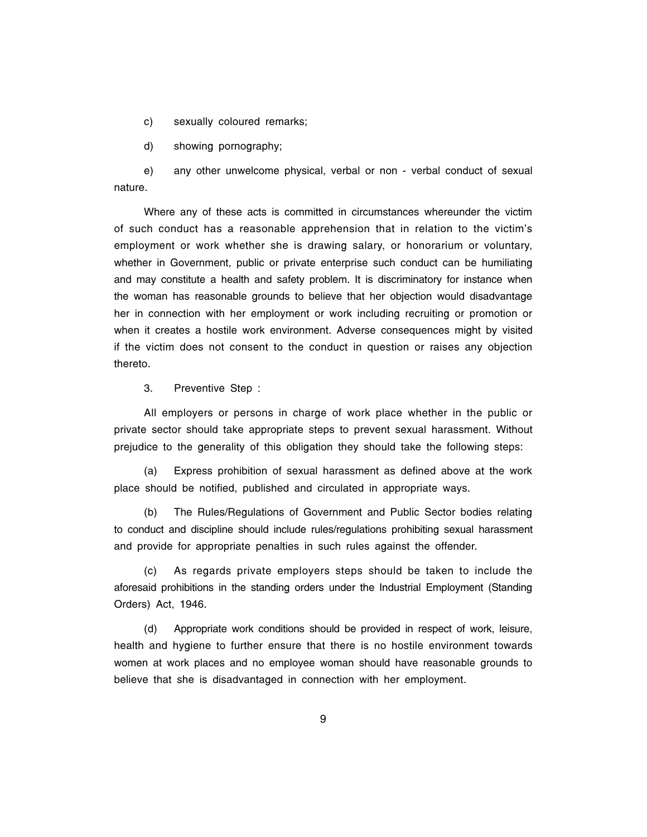c) sexually coloured remarks;

d) showing pornography;

e) any other unwelcome physical, verbal or non - verbal conduct of sexual nature.

Where any of these acts is committed in circumstances whereunder the victim of such conduct has a reasonable apprehension that in relation to the victim's employment or work whether she is drawing salary, or honorarium or voluntary, whether in Government, public or private enterprise such conduct can be humiliating and may constitute a health and safety problem. It is discriminatory for instance when the woman has reasonable grounds to believe that her objection would disadvantage her in connection with her employment or work including recruiting or promotion or when it creates a hostile work environment. Adverse consequences might by visited if the victim does not consent to the conduct in question or raises any objection thereto.

3. Preventive Step :

All employers or persons in charge of work place whether in the public or private sector should take appropriate steps to prevent sexual harassment. Without prejudice to the generality of this obligation they should take the following steps:

(a) Express prohibition of sexual harassment as defined above at the work place should be notified, published and circulated in appropriate ways.

(b) The Rules/Regulations of Government and Public Sector bodies relating to conduct and discipline should include rules/regulations prohibiting sexual harassment and provide for appropriate penalties in such rules against the offender.

(c) As regards private employers steps should be taken to include the aforesaid prohibitions in the standing orders under the Industrial Employment (Standing Orders) Act, 1946.

(d) Appropriate work conditions should be provided in respect of work, leisure, health and hygiene to further ensure that there is no hostile environment towards women at work places and no employee woman should have reasonable grounds to believe that she is disadvantaged in connection with her employment.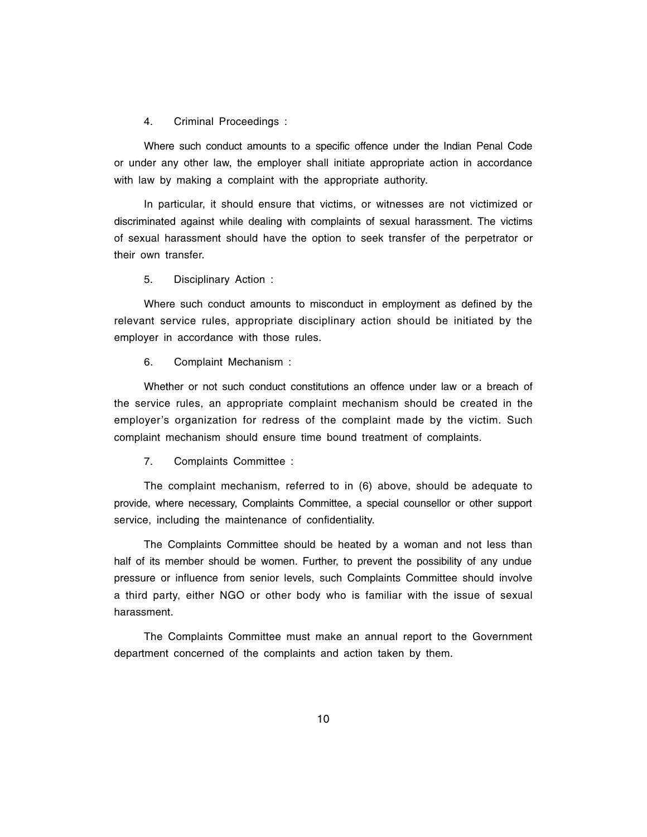# 4. Criminal Proceedings :

Where such conduct amounts to a specific offence under the Indian Penal Code or under any other law, the employer shall initiate appropriate action in accordance with law by making a complaint with the appropriate authority.

In particular, it should ensure that victims, or witnesses are not victimized or discriminated against while dealing with complaints of sexual harassment. The victims of sexual harassment should have the option to seek transfer of the perpetrator or their own transfer.

5. Disciplinary Action :

Where such conduct amounts to misconduct in employment as defined by the relevant service rules, appropriate disciplinary action should be initiated by the employer in accordance with those rules.

6. Complaint Mechanism :

Whether or not such conduct constitutions an offence under law or a breach of the service rules, an appropriate complaint mechanism should be created in the employer's organization for redress of the complaint made by the victim. Such complaint mechanism should ensure time bound treatment of complaints.

7. Complaints Committee :

The complaint mechanism, referred to in (6) above, should be adequate to provide, where necessary, Complaints Committee, a special counsellor or other support service, including the maintenance of confidentiality.

The Complaints Committee should be heated by a woman and not less than half of its member should be women. Further, to prevent the possibility of any undue pressure or influence from senior levels, such Complaints Committee should involve a third party, either NGO or other body who is familiar with the issue of sexual harassment.

The Complaints Committee must make an annual report to the Government department concerned of the complaints and action taken by them.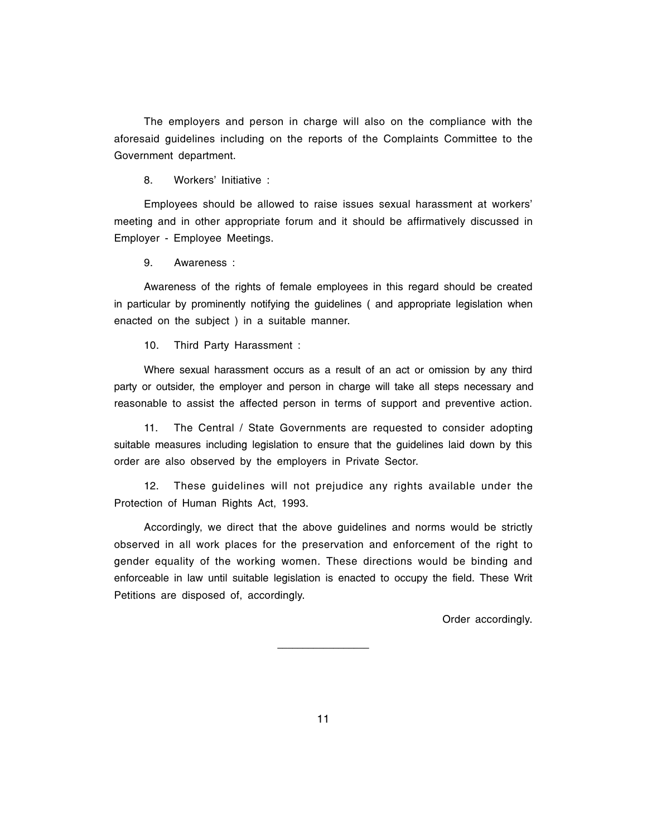The employers and person in charge will also on the compliance with the aforesaid guidelines including on the reports of the Complaints Committee to the Government department.

8. Workers' Initiative :

Employees should be allowed to raise issues sexual harassment at workers meeting and in other appropriate forum and it should be affirmatively discussed in Employer - Employee Meetings.

9. Awareness :

Awareness of the rights of female employees in this regard should be created in particular by prominently notifying the guidelines ( and appropriate legislation when enacted on the subject ) in a suitable manner.

10. Third Party Harassment :

Where sexual harassment occurs as a result of an act or omission by any third party or outsider, the employer and person in charge will take all steps necessary and reasonable to assist the affected person in terms of support and preventive action.

11. The Central / State Governments are requested to consider adopting suitable measures including legislation to ensure that the guidelines laid down by this order are also observed by the employers in Private Sector.

12. These guidelines will not prejudice any rights available under the Protection of Human Rights Act, 1993.

Accordingly, we direct that the above guidelines and norms would be strictly observed in all work places for the preservation and enforcement of the right to gender equality of the working women. These directions would be binding and enforceable in law until suitable legislation is enacted to occupy the field. These Writ Petitions are disposed of, accordingly.

Order accordingly.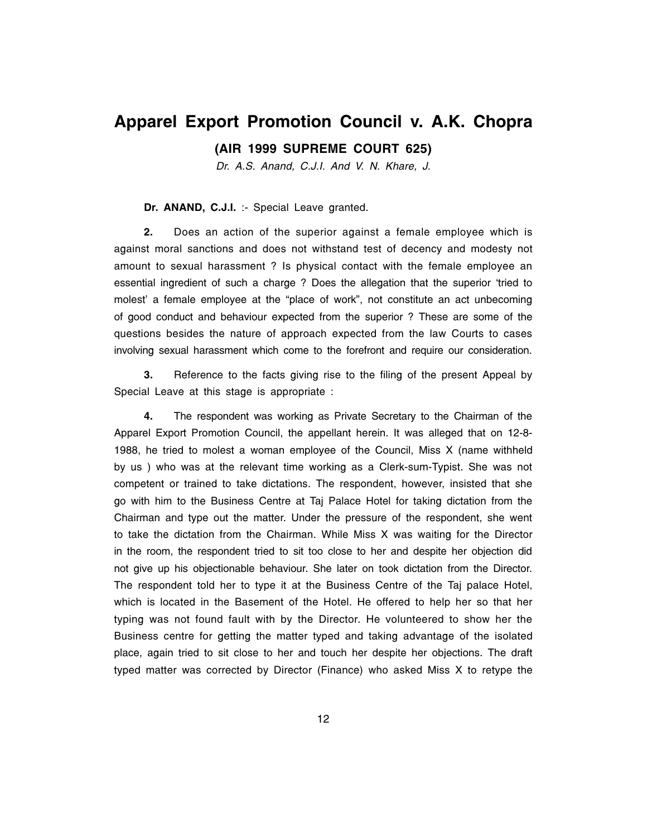# Apparel Export Promotion Council v. A.K. Chopra

(AIR 1999 SUPREME COURT 625)

Dr. A.S. Anand, C.J.I. And V. N. Khare, J.

Dr. ANAND, C.J.I. :- Special Leave granted.

2. Does an action of the superior against a female employee which is against moral sanctions and does not withstand test of decency and modesty not amount to sexual harassment ? Is physical contact with the female employee an essential ingredient of such a charge ? Does the allegation that the superior tried to molest' a female employee at the "place of work", not constitute an act unbecoming of good conduct and behaviour expected from the superior ? These are some of the questions besides the nature of approach expected from the law Courts to cases involving sexual harassment which come to the forefront and require our consideration.

3. Reference to the facts giving rise to the filing of the present Appeal by Special Leave at this stage is appropriate :

4. The respondent was working as Private Secretary to the Chairman of the Apparel Export Promotion Council, the appellant herein. It was alleged that on 12-8- 1988, he tried to molest a woman employee of the Council, Miss X (name withheld by us ) who was at the relevant time working as a Clerk-sum-Typist. She was not competent or trained to take dictations. The respondent, however, insisted that she go with him to the Business Centre at Taj Palace Hotel for taking dictation from the Chairman and type out the matter. Under the pressure of the respondent, she went to take the dictation from the Chairman. While Miss X was waiting for the Director in the room, the respondent tried to sit too close to her and despite her objection did not give up his objectionable behaviour. She later on took dictation from the Director. The respondent told her to type it at the Business Centre of the Taj palace Hotel, which is located in the Basement of the Hotel. He offered to help her so that her typing was not found fault with by the Director. He volunteered to show her the Business centre for getting the matter typed and taking advantage of the isolated place, again tried to sit close to her and touch her despite her objections. The draft typed matter was corrected by Director (Finance) who asked Miss X to retype the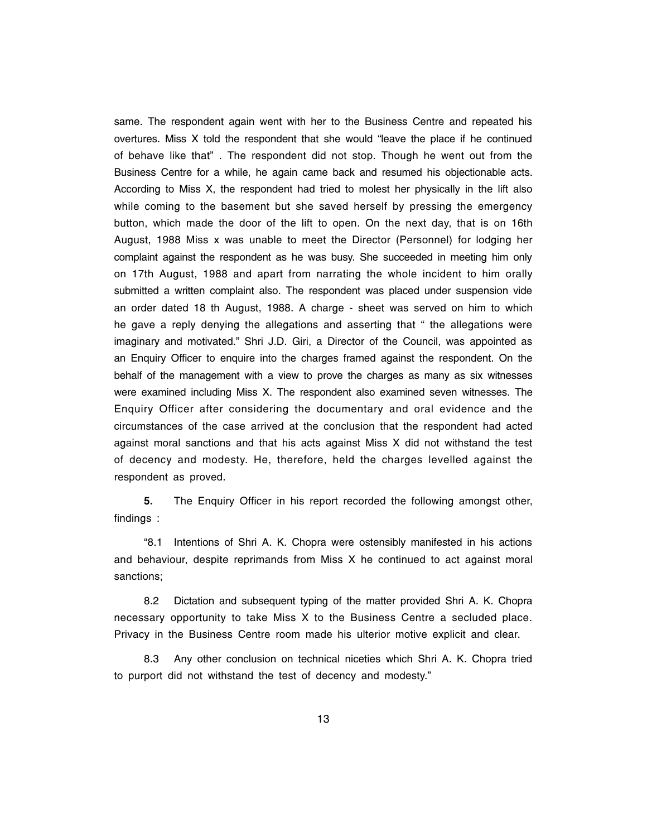same. The respondent again went with her to the Business Centre and repeated his overtures. Miss  $X$  told the respondent that she would "leave the place if he continued of behave like that". The respondent did not stop. Though he went out from the Business Centre for a while, he again came back and resumed his objectionable acts. According to Miss X, the respondent had tried to molest her physically in the lift also while coming to the basement but she saved herself by pressing the emergency button, which made the door of the lift to open. On the next day, that is on 16th August, 1988 Miss x was unable to meet the Director (Personnel) for lodging her complaint against the respondent as he was busy. She succeeded in meeting him only on 17th August, 1988 and apart from narrating the whole incident to him orally submitted a written complaint also. The respondent was placed under suspension vide an order dated 18 th August, 1988. A charge - sheet was served on him to which he gave a reply denying the allegations and asserting that " the allegations were imaginary and motivated." Shri J.D. Giri, a Director of the Council, was appointed as an Enquiry Officer to enquire into the charges framed against the respondent. On the behalf of the management with a view to prove the charges as many as six witnesses were examined including Miss X. The respondent also examined seven witnesses. The Enquiry Officer after considering the documentary and oral evidence and the circumstances of the case arrived at the conclusion that the respondent had acted against moral sanctions and that his acts against Miss X did not withstand the test of decency and modesty. He, therefore, held the charges levelled against the respondent as proved.

5. The Enquiry Officer in his report recorded the following amongst other, findings :

8.1 Intentions of Shri A. K. Chopra were ostensibly manifested in his actions and behaviour, despite reprimands from Miss X he continued to act against moral sanctions;

8.2 Dictation and subsequent typing of the matter provided Shri A. K. Chopra necessary opportunity to take Miss X to the Business Centre a secluded place. Privacy in the Business Centre room made his ulterior motive explicit and clear.

8.3 Any other conclusion on technical niceties which Shri A. K. Chopra tried to purport did not withstand the test of decency and modesty.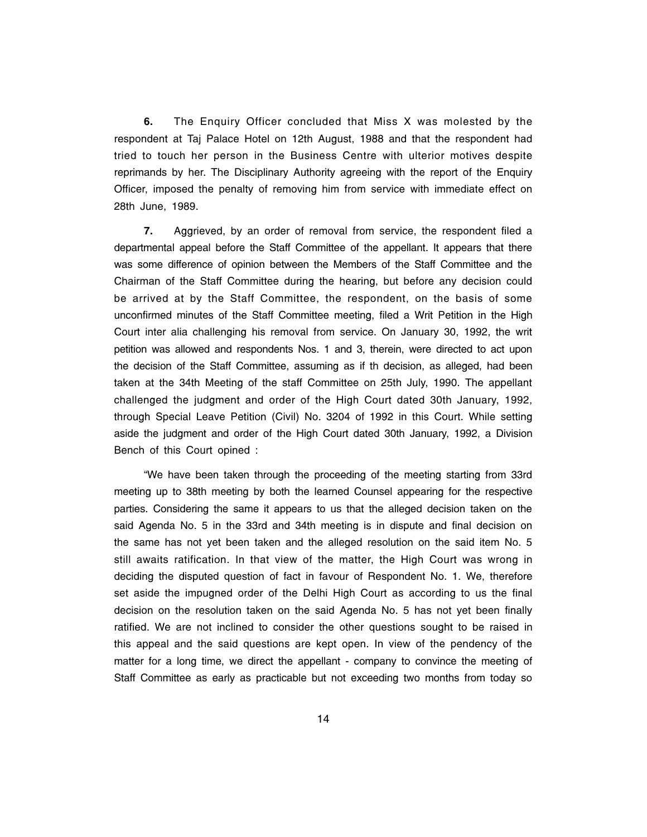6. The Enquiry Officer concluded that Miss X was molested by the respondent at Taj Palace Hotel on 12th August, 1988 and that the respondent had tried to touch her person in the Business Centre with ulterior motives despite reprimands by her. The Disciplinary Authority agreeing with the report of the Enquiry Officer, imposed the penalty of removing him from service with immediate effect on 28th June, 1989.

7. Aggrieved, by an order of removal from service, the respondent filed a departmental appeal before the Staff Committee of the appellant. It appears that there was some difference of opinion between the Members of the Staff Committee and the Chairman of the Staff Committee during the hearing, but before any decision could be arrived at by the Staff Committee, the respondent, on the basis of some unconfirmed minutes of the Staff Committee meeting, filed a Writ Petition in the High Court inter alia challenging his removal from service. On January 30, 1992, the writ petition was allowed and respondents Nos. 1 and 3, therein, were directed to act upon the decision of the Staff Committee, assuming as if th decision, as alleged, had been taken at the 34th Meeting of the staff Committee on 25th July, 1990. The appellant challenged the judgment and order of the High Court dated 30th January, 1992, through Special Leave Petition (Civil) No. 3204 of 1992 in this Court. While setting aside the judgment and order of the High Court dated 30th January, 1992, a Division Bench of this Court opined :

We have been taken through the proceeding of the meeting starting from 33rd meeting up to 38th meeting by both the learned Counsel appearing for the respective parties. Considering the same it appears to us that the alleged decision taken on the said Agenda No. 5 in the 33rd and 34th meeting is in dispute and final decision on the same has not yet been taken and the alleged resolution on the said item No. 5 still awaits ratification. In that view of the matter, the High Court was wrong in deciding the disputed question of fact in favour of Respondent No. 1. We, therefore set aside the impugned order of the Delhi High Court as according to us the final decision on the resolution taken on the said Agenda No. 5 has not yet been finally ratified. We are not inclined to consider the other questions sought to be raised in this appeal and the said questions are kept open. In view of the pendency of the matter for a long time, we direct the appellant - company to convince the meeting of Staff Committee as early as practicable but not exceeding two months from today so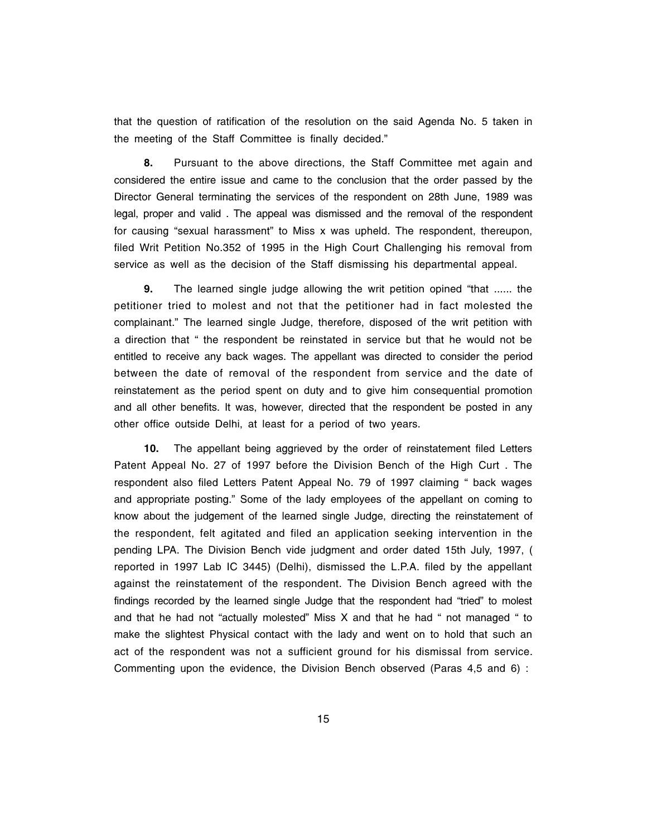that the question of ratification of the resolution on the said Agenda No. 5 taken in the meeting of the Staff Committee is finally decided.

8. Pursuant to the above directions, the Staff Committee met again and considered the entire issue and came to the conclusion that the order passed by the Director General terminating the services of the respondent on 28th June, 1989 was legal, proper and valid . The appeal was dismissed and the removal of the respondent for causing "sexual harassment" to Miss x was upheld. The respondent, thereupon, filed Writ Petition No.352 of 1995 in the High Court Challenging his removal from service as well as the decision of the Staff dismissing his departmental appeal.

9. The learned single judge allowing the writ petition opined "that ...... the petitioner tried to molest and not that the petitioner had in fact molested the complainant." The learned single Judge, therefore, disposed of the writ petition with a direction that " the respondent be reinstated in service but that he would not be entitled to receive any back wages. The appellant was directed to consider the period between the date of removal of the respondent from service and the date of reinstatement as the period spent on duty and to give him consequential promotion and all other benefits. It was, however, directed that the respondent be posted in any other office outside Delhi, at least for a period of two years.

10. The appellant being aggrieved by the order of reinstatement filed Letters Patent Appeal No. 27 of 1997 before the Division Bench of the High Curt . The respondent also filed Letters Patent Appeal No. 79 of 1997 claiming " back wages and appropriate posting." Some of the lady employees of the appellant on coming to know about the judgement of the learned single Judge, directing the reinstatement of the respondent, felt agitated and filed an application seeking intervention in the pending LPA. The Division Bench vide judgment and order dated 15th July, 1997, ( reported in 1997 Lab IC 3445) (Delhi), dismissed the L.P.A. filed by the appellant against the reinstatement of the respondent. The Division Bench agreed with the findings recorded by the learned single Judge that the respondent had "tried" to molest and that he had not "actually molested" Miss  $X$  and that he had " not managed " to make the slightest Physical contact with the lady and went on to hold that such an act of the respondent was not a sufficient ground for his dismissal from service. Commenting upon the evidence, the Division Bench observed (Paras 4,5 and 6) :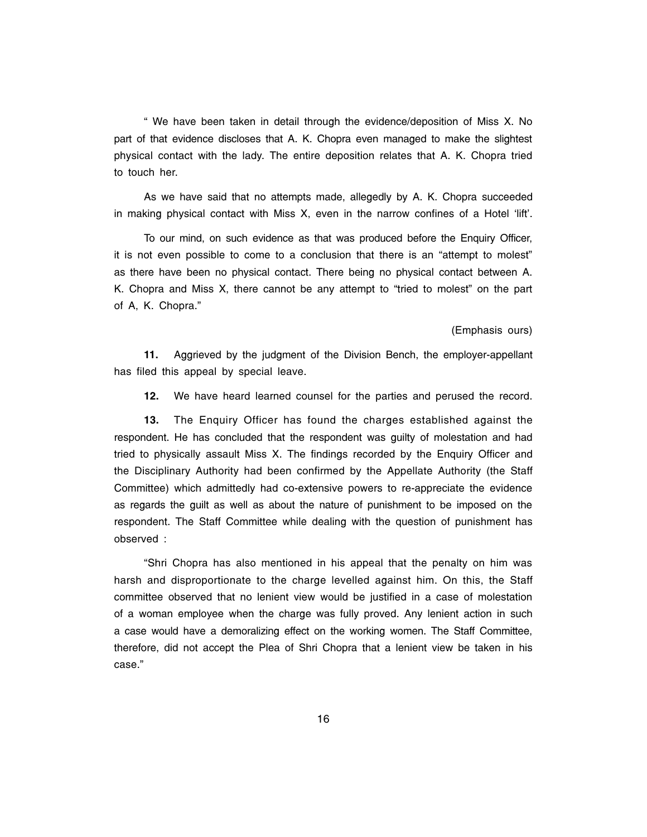We have been taken in detail through the evidence/deposition of Miss X. No part of that evidence discloses that A. K. Chopra even managed to make the slightest physical contact with the lady. The entire deposition relates that A. K. Chopra tried to touch her.

As we have said that no attempts made, allegedly by A. K. Chopra succeeded in making physical contact with Miss  $X$ , even in the narrow confines of a Hotel 'lift'.

To our mind, on such evidence as that was produced before the Enquiry Officer, it is not even possible to come to a conclusion that there is an "attempt to molest" as there have been no physical contact. There being no physical contact between A. K. Chopra and Miss  $X$ , there cannot be any attempt to "tried to molest" on the part of A, K. Chopra.

(Emphasis ours)

11. Aggrieved by the judgment of the Division Bench, the employer-appellant has filed this appeal by special leave.

12. We have heard learned counsel for the parties and perused the record.

13. The Enquiry Officer has found the charges established against the respondent. He has concluded that the respondent was guilty of molestation and had tried to physically assault Miss X. The findings recorded by the Enquiry Officer and the Disciplinary Authority had been confirmed by the Appellate Authority (the Staff Committee) which admittedly had co-extensive powers to re-appreciate the evidence as regards the guilt as well as about the nature of punishment to be imposed on the respondent. The Staff Committee while dealing with the question of punishment has observed :

Shri Chopra has also mentioned in his appeal that the penalty on him was harsh and disproportionate to the charge levelled against him. On this, the Staff committee observed that no lenient view would be justified in a case of molestation of a woman employee when the charge was fully proved. Any lenient action in such a case would have a demoralizing effect on the working women. The Staff Committee, therefore, did not accept the Plea of Shri Chopra that a lenient view be taken in his case.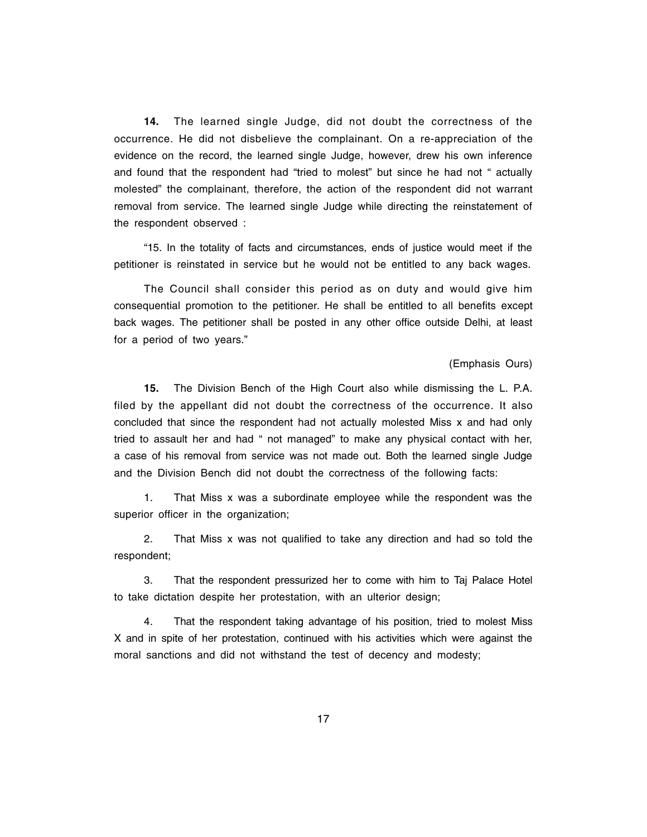14. The learned single Judge, did not doubt the correctness of the occurrence. He did not disbelieve the complainant. On a re-appreciation of the evidence on the record, the learned single Judge, however, drew his own inference and found that the respondent had "tried to molest" but since he had not " actually molested" the complainant, therefore, the action of the respondent did not warrant removal from service. The learned single Judge while directing the reinstatement of the respondent observed :

15. In the totality of facts and circumstances, ends of justice would meet if the petitioner is reinstated in service but he would not be entitled to any back wages.

The Council shall consider this period as on duty and would give him consequential promotion to the petitioner. He shall be entitled to all benefits except back wages. The petitioner shall be posted in any other office outside Delhi, at least for a period of two years.

## (Emphasis Ours)

15. The Division Bench of the High Court also while dismissing the L. P.A. filed by the appellant did not doubt the correctness of the occurrence. It also concluded that since the respondent had not actually molested Miss x and had only tried to assault her and had " not managed" to make any physical contact with her, a case of his removal from service was not made out. Both the learned single Judge and the Division Bench did not doubt the correctness of the following facts:

1. That Miss x was a subordinate employee while the respondent was the superior officer in the organization;

2. That Miss x was not qualified to take any direction and had so told the respondent;

3. That the respondent pressurized her to come with him to Taj Palace Hotel to take dictation despite her protestation, with an ulterior design;

4. That the respondent taking advantage of his position, tried to molest Miss X and in spite of her protestation, continued with his activities which were against the moral sanctions and did not withstand the test of decency and modesty;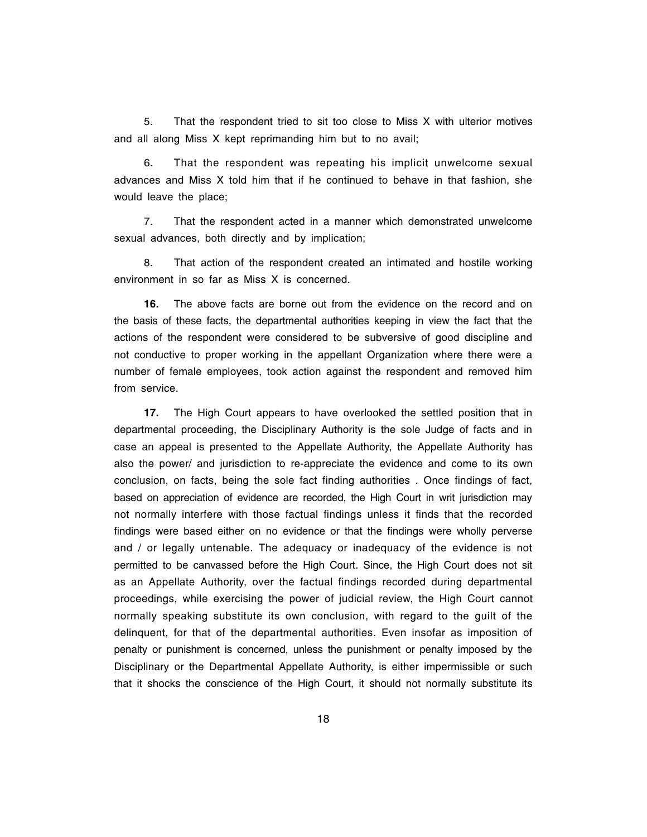5. That the respondent tried to sit too close to Miss X with ulterior motives and all along Miss X kept reprimanding him but to no avail;

6. That the respondent was repeating his implicit unwelcome sexual advances and Miss X told him that if he continued to behave in that fashion, she would leave the place;

7. That the respondent acted in a manner which demonstrated unwelcome sexual advances, both directly and by implication;

8. That action of the respondent created an intimated and hostile working environment in so far as Miss X is concerned.

16. The above facts are borne out from the evidence on the record and on the basis of these facts, the departmental authorities keeping in view the fact that the actions of the respondent were considered to be subversive of good discipline and not conductive to proper working in the appellant Organization where there were a number of female employees, took action against the respondent and removed him from service.

17. The High Court appears to have overlooked the settled position that in departmental proceeding, the Disciplinary Authority is the sole Judge of facts and in case an appeal is presented to the Appellate Authority, the Appellate Authority has also the power/ and jurisdiction to re-appreciate the evidence and come to its own conclusion, on facts, being the sole fact finding authorities . Once findings of fact, based on appreciation of evidence are recorded, the High Court in writ jurisdiction may not normally interfere with those factual findings unless it finds that the recorded findings were based either on no evidence or that the findings were wholly perverse and / or legally untenable. The adequacy or inadequacy of the evidence is not permitted to be canvassed before the High Court. Since, the High Court does not sit as an Appellate Authority, over the factual findings recorded during departmental proceedings, while exercising the power of judicial review, the High Court cannot normally speaking substitute its own conclusion, with regard to the guilt of the delinquent, for that of the departmental authorities. Even insofar as imposition of penalty or punishment is concerned, unless the punishment or penalty imposed by the Disciplinary or the Departmental Appellate Authority, is either impermissible or such that it shocks the conscience of the High Court, it should not normally substitute its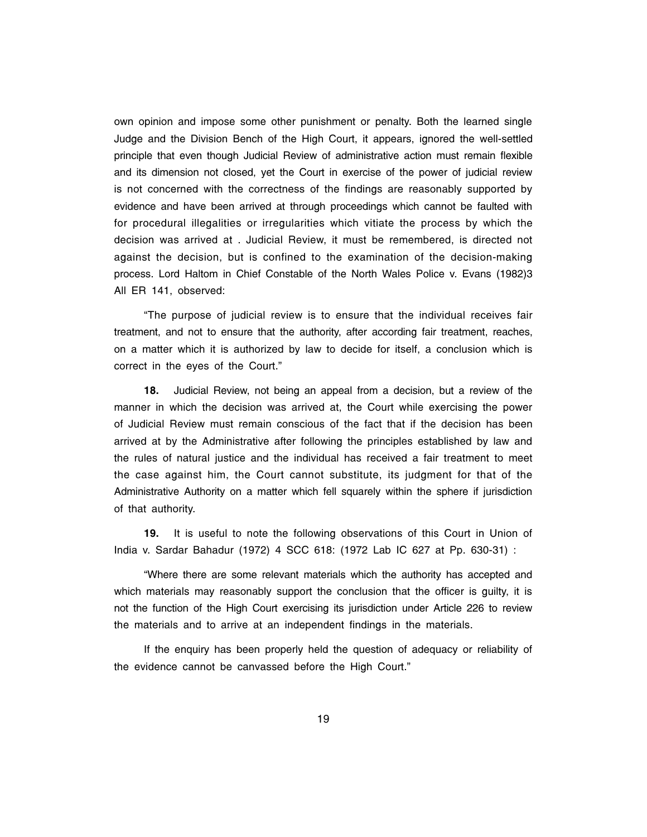own opinion and impose some other punishment or penalty. Both the learned single Judge and the Division Bench of the High Court, it appears, ignored the well-settled principle that even though Judicial Review of administrative action must remain flexible and its dimension not closed, yet the Court in exercise of the power of judicial review is not concerned with the correctness of the findings are reasonably supported by evidence and have been arrived at through proceedings which cannot be faulted with for procedural illegalities or irregularities which vitiate the process by which the decision was arrived at . Judicial Review, it must be remembered, is directed not against the decision, but is confined to the examination of the decision-making process. Lord Haltom in Chief Constable of the North Wales Police v. Evans (1982)3 All ER 141, observed:

The purpose of judicial review is to ensure that the individual receives fair treatment, and not to ensure that the authority, after according fair treatment, reaches, on a matter which it is authorized by law to decide for itself, a conclusion which is correct in the eyes of the Court.

18. Judicial Review, not being an appeal from a decision, but a review of the manner in which the decision was arrived at, the Court while exercising the power of Judicial Review must remain conscious of the fact that if the decision has been arrived at by the Administrative after following the principles established by law and the rules of natural justice and the individual has received a fair treatment to meet the case against him, the Court cannot substitute, its judgment for that of the Administrative Authority on a matter which fell squarely within the sphere if jurisdiction of that authority.

19. It is useful to note the following observations of this Court in Union of India v. Sardar Bahadur (1972) 4 SCC 618: (1972 Lab IC 627 at Pp. 630-31) :

Where there are some relevant materials which the authority has accepted and which materials may reasonably support the conclusion that the officer is guilty, it is not the function of the High Court exercising its jurisdiction under Article 226 to review the materials and to arrive at an independent findings in the materials.

If the enquiry has been properly held the question of adequacy or reliability of the evidence cannot be canvassed before the High Court.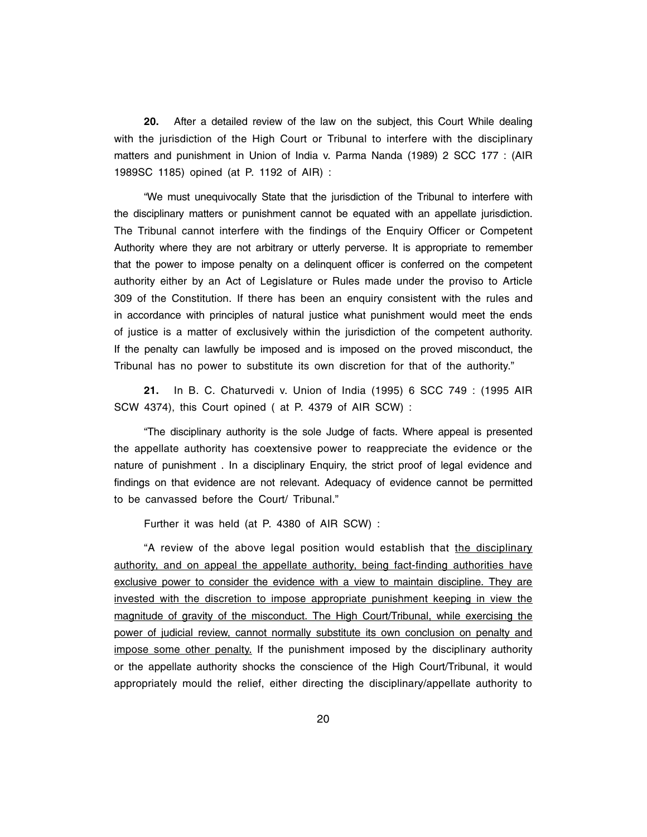20. After a detailed review of the law on the subject, this Court While dealing with the jurisdiction of the High Court or Tribunal to interfere with the disciplinary matters and punishment in Union of India v. Parma Nanda (1989) 2 SCC 177 : (AIR 1989SC 1185) opined (at P. 1192 of AIR) :

We must unequivocally State that the jurisdiction of the Tribunal to interfere with the disciplinary matters or punishment cannot be equated with an appellate jurisdiction. The Tribunal cannot interfere with the findings of the Enquiry Officer or Competent Authority where they are not arbitrary or utterly perverse. It is appropriate to remember that the power to impose penalty on a delinquent officer is conferred on the competent authority either by an Act of Legislature or Rules made under the proviso to Article 309 of the Constitution. If there has been an enquiry consistent with the rules and in accordance with principles of natural justice what punishment would meet the ends of justice is a matter of exclusively within the jurisdiction of the competent authority. If the penalty can lawfully be imposed and is imposed on the proved misconduct, the Tribunal has no power to substitute its own discretion for that of the authority.

21. In B. C. Chaturvedi v. Union of India (1995) 6 SCC 749 : (1995 AIR SCW 4374), this Court opined ( at P. 4379 of AIR SCW) :

The disciplinary authority is the sole Judge of facts. Where appeal is presented the appellate authority has coextensive power to reappreciate the evidence or the nature of punishment . In a disciplinary Enquiry, the strict proof of legal evidence and findings on that evidence are not relevant. Adequacy of evidence cannot be permitted to be canvassed before the Court/ Tribunal.

Further it was held (at P. 4380 of AIR SCW) :

A review of the above legal position would establish that the disciplinary authority, and on appeal the appellate authority, being fact-finding authorities have exclusive power to consider the evidence with a view to maintain discipline. They are invested with the discretion to impose appropriate punishment keeping in view the magnitude of gravity of the misconduct. The High Court/Tribunal, while exercising the power of judicial review, cannot normally substitute its own conclusion on penalty and impose some other penalty. If the punishment imposed by the disciplinary authority or the appellate authority shocks the conscience of the High Court/Tribunal, it would appropriately mould the relief, either directing the disciplinary/appellate authority to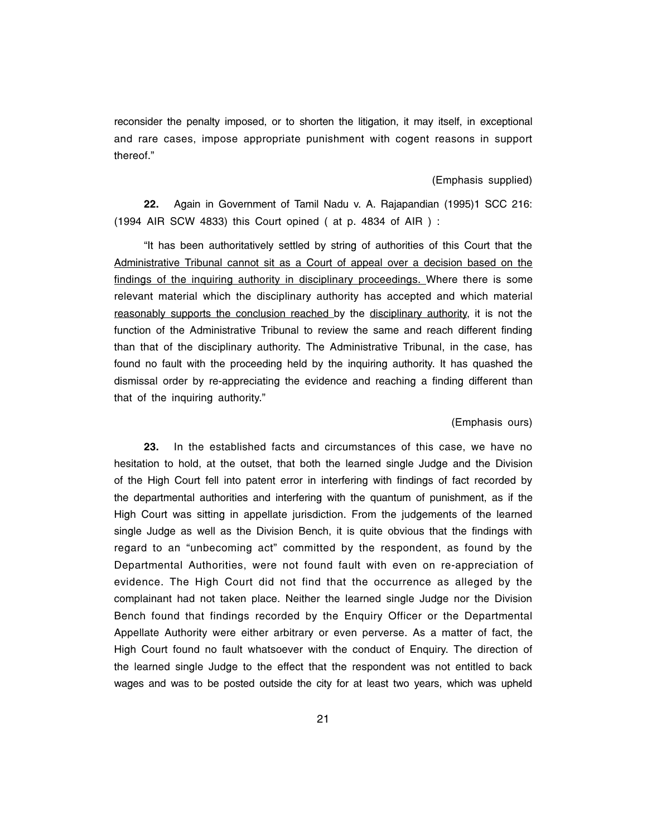reconsider the penalty imposed, or to shorten the litigation, it may itself, in exceptional and rare cases, impose appropriate punishment with cogent reasons in support thereof.

#### (Emphasis supplied)

22. Again in Government of Tamil Nadu v. A. Rajapandian (1995)1 SCC 216: (1994 AIR SCW 4833) this Court opined ( at p. 4834 of AIR ) :

"It has been authoritatively settled by string of authorities of this Court that the Administrative Tribunal cannot sit as a Court of appeal over a decision based on the findings of the inquiring authority in disciplinary proceedings. Where there is some relevant material which the disciplinary authority has accepted and which material reasonably supports the conclusion reached by the disciplinary authority, it is not the function of the Administrative Tribunal to review the same and reach different finding than that of the disciplinary authority. The Administrative Tribunal, in the case, has found no fault with the proceeding held by the inquiring authority. It has quashed the dismissal order by re-appreciating the evidence and reaching a finding different than that of the inquiring authority.

#### (Emphasis ours)

23. In the established facts and circumstances of this case, we have no hesitation to hold, at the outset, that both the learned single Judge and the Division of the High Court fell into patent error in interfering with findings of fact recorded by the departmental authorities and interfering with the quantum of punishment, as if the High Court was sitting in appellate jurisdiction. From the judgements of the learned single Judge as well as the Division Bench, it is quite obvious that the findings with regard to an "unbecoming act" committed by the respondent, as found by the Departmental Authorities, were not found fault with even on re-appreciation of evidence. The High Court did not find that the occurrence as alleged by the complainant had not taken place. Neither the learned single Judge nor the Division Bench found that findings recorded by the Enquiry Officer or the Departmental Appellate Authority were either arbitrary or even perverse. As a matter of fact, the High Court found no fault whatsoever with the conduct of Enquiry. The direction of the learned single Judge to the effect that the respondent was not entitled to back wages and was to be posted outside the city for at least two years, which was upheld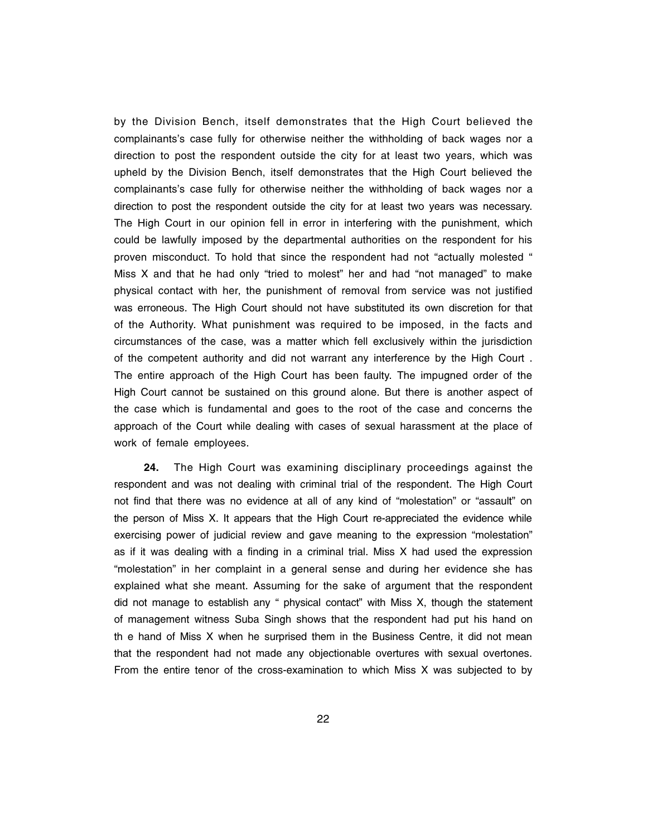by the Division Bench, itself demonstrates that the High Court believed the complainants's case fully for otherwise neither the withholding of back wages nor a direction to post the respondent outside the city for at least two years, which was upheld by the Division Bench, itself demonstrates that the High Court believed the complainants's case fully for otherwise neither the withholding of back wages nor a direction to post the respondent outside the city for at least two years was necessary. The High Court in our opinion fell in error in interfering with the punishment, which could be lawfully imposed by the departmental authorities on the respondent for his proven misconduct. To hold that since the respondent had not "actually molested " Miss  $X$  and that he had only "tried to molest" her and had "not managed" to make physical contact with her, the punishment of removal from service was not justified was erroneous. The High Court should not have substituted its own discretion for that of the Authority. What punishment was required to be imposed, in the facts and circumstances of the case, was a matter which fell exclusively within the jurisdiction of the competent authority and did not warrant any interference by the High Court . The entire approach of the High Court has been faulty. The impugned order of the High Court cannot be sustained on this ground alone. But there is another aspect of the case which is fundamental and goes to the root of the case and concerns the approach of the Court while dealing with cases of sexual harassment at the place of work of female employees.

24. The High Court was examining disciplinary proceedings against the respondent and was not dealing with criminal trial of the respondent. The High Court not find that there was no evidence at all of any kind of "molestation" or "assault" on the person of Miss X. It appears that the High Court re-appreciated the evidence while exercising power of judicial review and gave meaning to the expression "molestation" as if it was dealing with a finding in a criminal trial. Miss X had used the expression "molestation" in her complaint in a general sense and during her evidence she has explained what she meant. Assuming for the sake of argument that the respondent did not manage to establish any " physical contact" with Miss  $X$ , though the statement of management witness Suba Singh shows that the respondent had put his hand on th e hand of Miss X when he surprised them in the Business Centre, it did not mean that the respondent had not made any objectionable overtures with sexual overtones. From the entire tenor of the cross-examination to which Miss X was subjected to by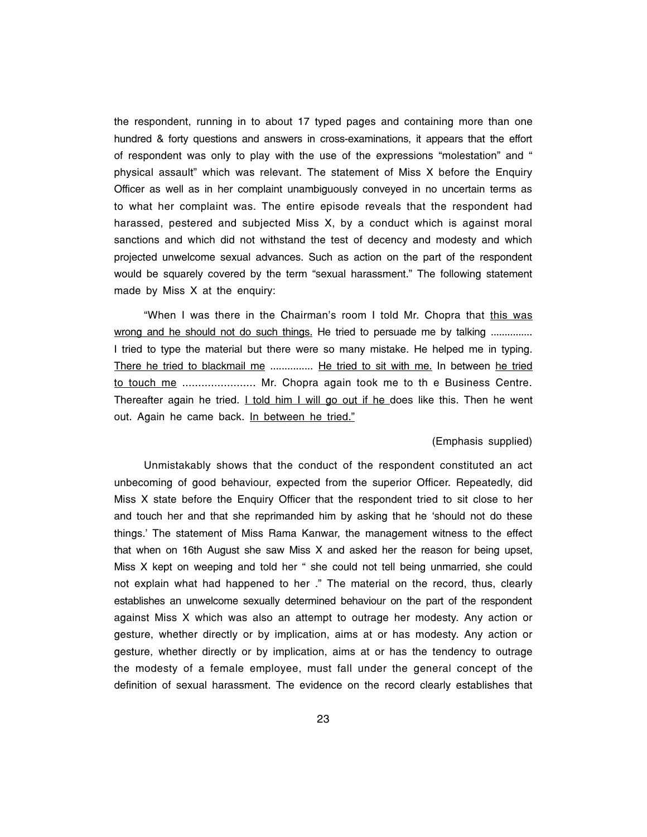the respondent, running in to about 17 typed pages and containing more than one hundred & forty questions and answers in cross-examinations, it appears that the effort of respondent was only to play with the use of the expressions "molestation" and " physical assault" which was relevant. The statement of Miss X before the Enquiry Officer as well as in her complaint unambiguously conveyed in no uncertain terms as to what her complaint was. The entire episode reveals that the respondent had harassed, pestered and subjected Miss X, by a conduct which is against moral sanctions and which did not withstand the test of decency and modesty and which projected unwelcome sexual advances. Such as action on the part of the respondent would be squarely covered by the term "sexual harassment." The following statement made by Miss X at the enquiry:

"When I was there in the Chairman's room I told Mr. Chopra that this was wrong and he should not do such things. He tried to persuade me by talking ............... I tried to type the material but there were so many mistake. He helped me in typing. There he tried to blackmail me ............... He tried to sit with me. In between he tried to touch me ....................... Mr. Chopra again took me to th e Business Centre. Thereafter again he tried. *I told him I will go out if he does like this*. Then he went out. Again he came back. In between he tried."

## (Emphasis supplied)

Unmistakably shows that the conduct of the respondent constituted an act unbecoming of good behaviour, expected from the superior Officer. Repeatedly, did Miss X state before the Enquiry Officer that the respondent tried to sit close to her and touch her and that she reprimanded him by asking that he 'should not do these things. The statement of Miss Rama Kanwar, the management witness to the effect that when on 16th August she saw Miss X and asked her the reason for being upset, Miss X kept on weeping and told her " she could not tell being unmarried, she could not explain what had happened to her ." The material on the record, thus, clearly establishes an unwelcome sexually determined behaviour on the part of the respondent against Miss X which was also an attempt to outrage her modesty. Any action or gesture, whether directly or by implication, aims at or has modesty. Any action or gesture, whether directly or by implication, aims at or has the tendency to outrage the modesty of a female employee, must fall under the general concept of the definition of sexual harassment. The evidence on the record clearly establishes that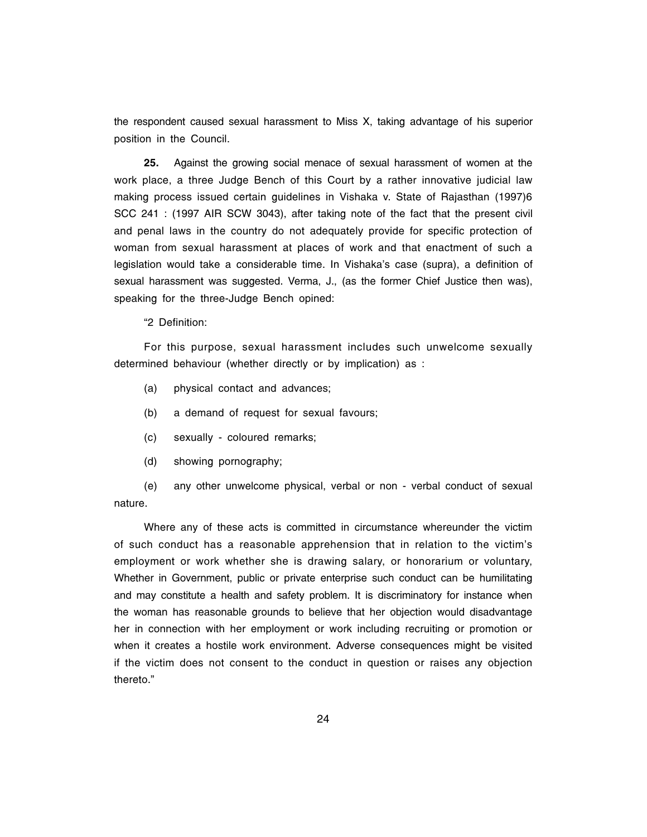the respondent caused sexual harassment to Miss X, taking advantage of his superior position in the Council.

25. Against the growing social menace of sexual harassment of women at the work place, a three Judge Bench of this Court by a rather innovative judicial law making process issued certain guidelines in Vishaka v. State of Rajasthan (1997)6 SCC 241 : (1997 AIR SCW 3043), after taking note of the fact that the present civil and penal laws in the country do not adequately provide for specific protection of woman from sexual harassment at places of work and that enactment of such a legislation would take a considerable time. In Vishaka's case (supra), a definition of sexual harassment was suggested. Verma, J., (as the former Chief Justice then was), speaking for the three-Judge Bench opined:

## 2 Definition:

For this purpose, sexual harassment includes such unwelcome sexually determined behaviour (whether directly or by implication) as :

- (a) physical contact and advances;
- (b) a demand of request for sexual favours;
- (c) sexually coloured remarks;
- (d) showing pornography;

(e) any other unwelcome physical, verbal or non - verbal conduct of sexual nature.

Where any of these acts is committed in circumstance whereunder the victim of such conduct has a reasonable apprehension that in relation to the victim's employment or work whether she is drawing salary, or honorarium or voluntary, Whether in Government, public or private enterprise such conduct can be humilitating and may constitute a health and safety problem. It is discriminatory for instance when the woman has reasonable grounds to believe that her objection would disadvantage her in connection with her employment or work including recruiting or promotion or when it creates a hostile work environment. Adverse consequences might be visited if the victim does not consent to the conduct in question or raises any objection thereto.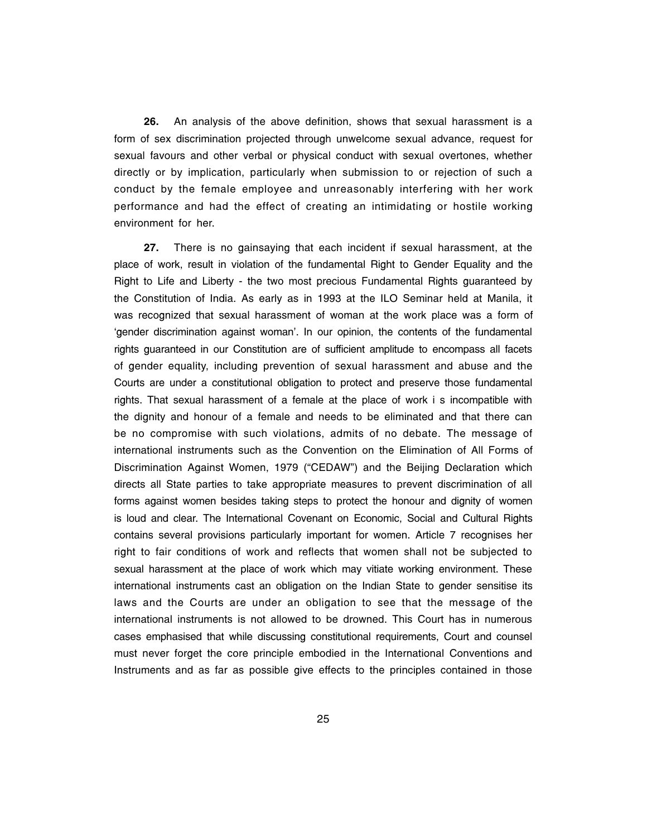26. An analysis of the above definition, shows that sexual harassment is a form of sex discrimination projected through unwelcome sexual advance, request for sexual favours and other verbal or physical conduct with sexual overtones, whether directly or by implication, particularly when submission to or rejection of such a conduct by the female employee and unreasonably interfering with her work performance and had the effect of creating an intimidating or hostile working environment for her.

27. There is no gainsaying that each incident if sexual harassment, at the place of work, result in violation of the fundamental Right to Gender Equality and the Right to Life and Liberty - the two most precious Fundamental Rights guaranteed by the Constitution of India. As early as in 1993 at the ILO Seminar held at Manila, it was recognized that sexual harassment of woman at the work place was a form of 'gender discrimination against woman'. In our opinion, the contents of the fundamental rights guaranteed in our Constitution are of sufficient amplitude to encompass all facets of gender equality, including prevention of sexual harassment and abuse and the Courts are under a constitutional obligation to protect and preserve those fundamental rights. That sexual harassment of a female at the place of work i s incompatible with the dignity and honour of a female and needs to be eliminated and that there can be no compromise with such violations, admits of no debate. The message of international instruments such as the Convention on the Elimination of All Forms of Discrimination Against Women, 1979 ("CEDAW") and the Beijing Declaration which directs all State parties to take appropriate measures to prevent discrimination of all forms against women besides taking steps to protect the honour and dignity of women is loud and clear. The International Covenant on Economic, Social and Cultural Rights contains several provisions particularly important for women. Article 7 recognises her right to fair conditions of work and reflects that women shall not be subjected to sexual harassment at the place of work which may vitiate working environment. These international instruments cast an obligation on the Indian State to gender sensitise its laws and the Courts are under an obligation to see that the message of the international instruments is not allowed to be drowned. This Court has in numerous cases emphasised that while discussing constitutional requirements, Court and counsel must never forget the core principle embodied in the International Conventions and Instruments and as far as possible give effects to the principles contained in those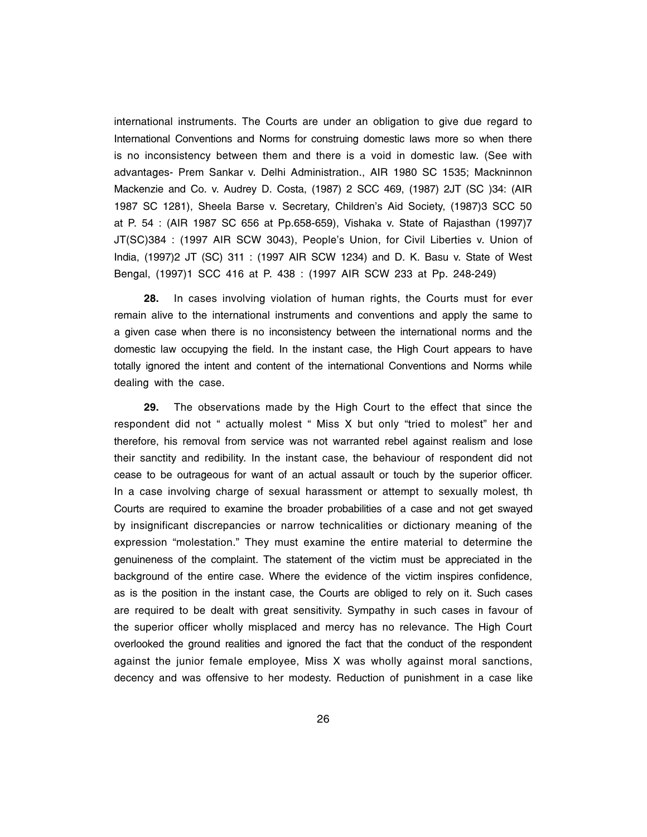international instruments. The Courts are under an obligation to give due regard to International Conventions and Norms for construing domestic laws more so when there is no inconsistency between them and there is a void in domestic law. (See with advantages- Prem Sankar v. Delhi Administration., AIR 1980 SC 1535; Mackninnon Mackenzie and Co. v. Audrey D. Costa, (1987) 2 SCC 469, (1987) 2JT (SC )34: (AIR 1987 SC 1281), Sheela Barse v. Secretary, Children's Aid Society, (1987)3 SCC 50 at P. 54 : (AIR 1987 SC 656 at Pp.658-659), Vishaka v. State of Rajasthan (1997)7 JT(SC)384 : (1997 AIR SCW 3043), Peoples Union, for Civil Liberties v. Union of India, (1997)2 JT (SC) 311 : (1997 AIR SCW 1234) and D. K. Basu v. State of West Bengal, (1997)1 SCC 416 at P. 438 : (1997 AIR SCW 233 at Pp. 248-249)

28. In cases involving violation of human rights, the Courts must for ever remain alive to the international instruments and conventions and apply the same to a given case when there is no inconsistency between the international norms and the domestic law occupying the field. In the instant case, the High Court appears to have totally ignored the intent and content of the international Conventions and Norms while dealing with the case.

29. The observations made by the High Court to the effect that since the respondent did not " actually molest " Miss X but only "tried to molest" her and therefore, his removal from service was not warranted rebel against realism and lose their sanctity and redibility. In the instant case, the behaviour of respondent did not cease to be outrageous for want of an actual assault or touch by the superior officer. In a case involving charge of sexual harassment or attempt to sexually molest, th Courts are required to examine the broader probabilities of a case and not get swayed by insignificant discrepancies or narrow technicalities or dictionary meaning of the expression "molestation." They must examine the entire material to determine the genuineness of the complaint. The statement of the victim must be appreciated in the background of the entire case. Where the evidence of the victim inspires confidence, as is the position in the instant case, the Courts are obliged to rely on it. Such cases are required to be dealt with great sensitivity. Sympathy in such cases in favour of the superior officer wholly misplaced and mercy has no relevance. The High Court overlooked the ground realities and ignored the fact that the conduct of the respondent against the junior female employee, Miss X was wholly against moral sanctions, decency and was offensive to her modesty. Reduction of punishment in a case like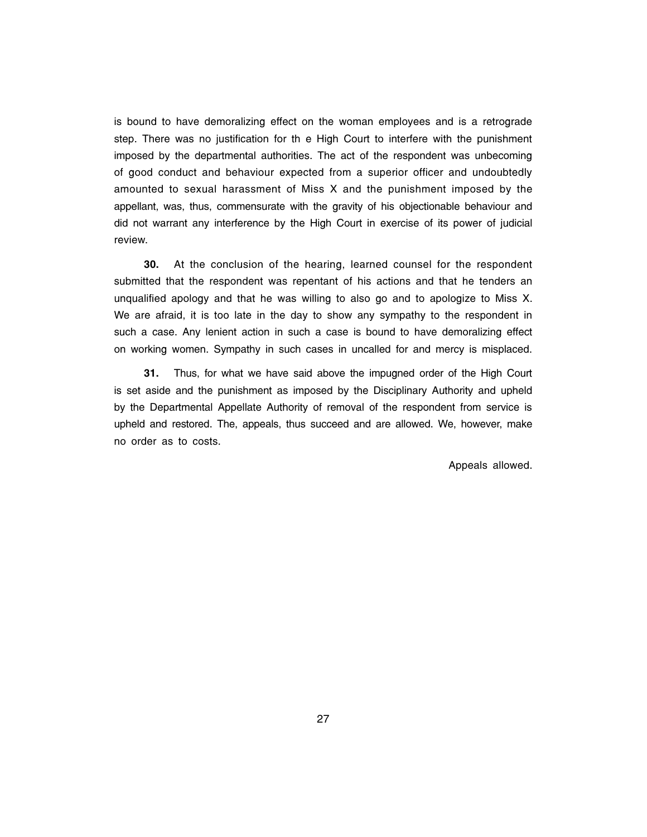is bound to have demoralizing effect on the woman employees and is a retrograde step. There was no justification for th e High Court to interfere with the punishment imposed by the departmental authorities. The act of the respondent was unbecoming of good conduct and behaviour expected from a superior officer and undoubtedly amounted to sexual harassment of Miss X and the punishment imposed by the appellant, was, thus, commensurate with the gravity of his objectionable behaviour and did not warrant any interference by the High Court in exercise of its power of judicial review.

30. At the conclusion of the hearing, learned counsel for the respondent submitted that the respondent was repentant of his actions and that he tenders an unqualified apology and that he was willing to also go and to apologize to Miss X. We are afraid, it is too late in the day to show any sympathy to the respondent in such a case. Any lenient action in such a case is bound to have demoralizing effect on working women. Sympathy in such cases in uncalled for and mercy is misplaced.

31. Thus, for what we have said above the impugned order of the High Court is set aside and the punishment as imposed by the Disciplinary Authority and upheld by the Departmental Appellate Authority of removal of the respondent from service is upheld and restored. The, appeals, thus succeed and are allowed. We, however, make no order as to costs.

Appeals allowed.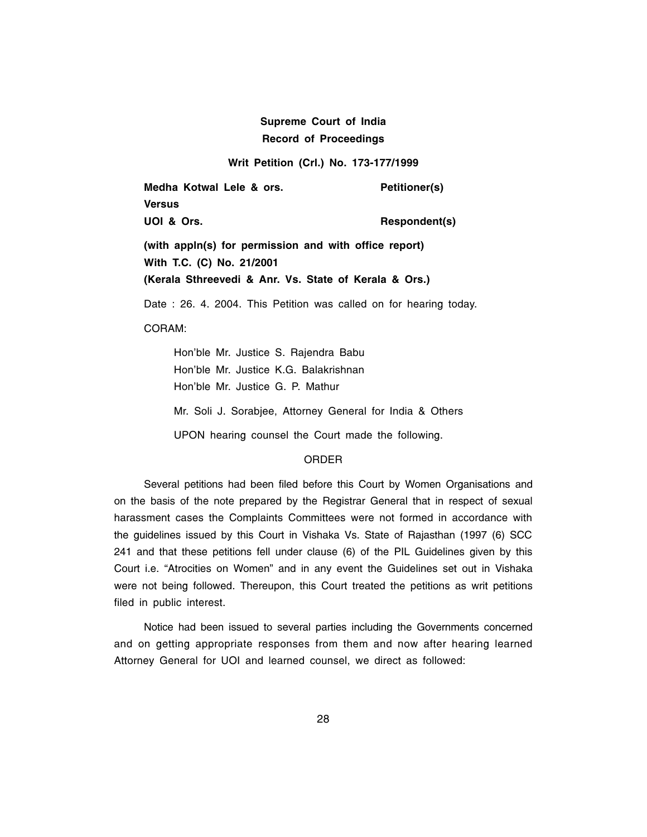# Supreme Court of India Record of Proceedings

Writ Petition (Crl.) No. 173-177/1999

Medha Kotwal Lele & ors. Petitioner(s) **Versus** UOI & Ors. Sanctice Contract Contract Contract Respondent(s)

(with appln(s) for permission and with office report) With T.C. (C) No. 21/2001 (Kerala Sthreevedi & Anr. Vs. State of Kerala & Ors.)

Date : 26. 4. 2004. This Petition was called on for hearing today.

CORAM:

Hon'ble Mr. Justice S. Rajendra Babu Hon'ble Mr. Justice K.G. Balakrishnan Hon'ble Mr. Justice G. P. Mathur

Mr. Soli J. Sorabjee, Attorney General for India & Others

UPON hearing counsel the Court made the following.

# ORDER

Several petitions had been filed before this Court by Women Organisations and on the basis of the note prepared by the Registrar General that in respect of sexual harassment cases the Complaints Committees were not formed in accordance with the guidelines issued by this Court in Vishaka Vs. State of Rajasthan (1997 (6) SCC 241 and that these petitions fell under clause (6) of the PIL Guidelines given by this Court i.e. "Atrocities on Women" and in any event the Guidelines set out in Vishaka were not being followed. Thereupon, this Court treated the petitions as writ petitions filed in public interest.

Notice had been issued to several parties including the Governments concerned and on getting appropriate responses from them and now after hearing learned Attorney General for UOI and learned counsel, we direct as followed: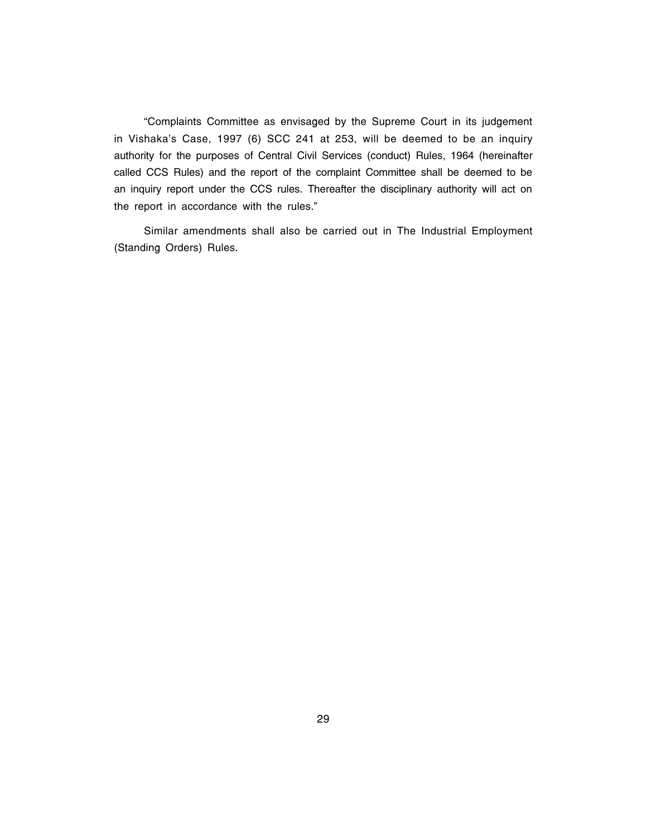Complaints Committee as envisaged by the Supreme Court in its judgement in Vishaka's Case, 1997 (6) SCC 241 at 253, will be deemed to be an inquiry authority for the purposes of Central Civil Services (conduct) Rules, 1964 (hereinafter called CCS Rules) and the report of the complaint Committee shall be deemed to be an inquiry report under the CCS rules. Thereafter the disciplinary authority will act on the report in accordance with the rules.

Similar amendments shall also be carried out in The Industrial Employment (Standing Orders) Rules.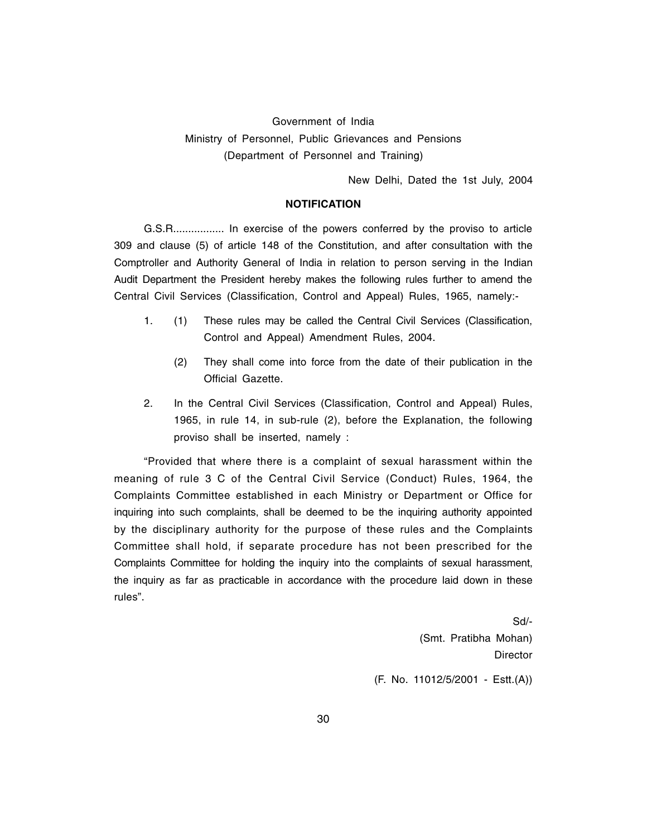# Government of India

Ministry of Personnel, Public Grievances and Pensions (Department of Personnel and Training)

New Delhi, Dated the 1st July, 2004

# **NOTIFICATION**

G.S.R................. In exercise of the powers conferred by the proviso to article 309 and clause (5) of article 148 of the Constitution, and after consultation with the Comptroller and Authority General of India in relation to person serving in the Indian Audit Department the President hereby makes the following rules further to amend the Central Civil Services (Classification, Control and Appeal) Rules, 1965, namely:-

- 1. (1) These rules may be called the Central Civil Services (Classification, Control and Appeal) Amendment Rules, 2004.
	- (2) They shall come into force from the date of their publication in the Official Gazette.
- 2. In the Central Civil Services (Classification, Control and Appeal) Rules, 1965, in rule 14, in sub-rule (2), before the Explanation, the following proviso shall be inserted, namely :

Provided that where there is a complaint of sexual harassment within the meaning of rule 3 C of the Central Civil Service (Conduct) Rules, 1964, the Complaints Committee established in each Ministry or Department or Office for inquiring into such complaints, shall be deemed to be the inquiring authority appointed by the disciplinary authority for the purpose of these rules and the Complaints Committee shall hold, if separate procedure has not been prescribed for the Complaints Committee for holding the inquiry into the complaints of sexual harassment, the inquiry as far as practicable in accordance with the procedure laid down in these rules".

> Sd/- (Smt. Pratibha Mohan) **Director** (F. No. 11012/5/2001 - Estt.(A))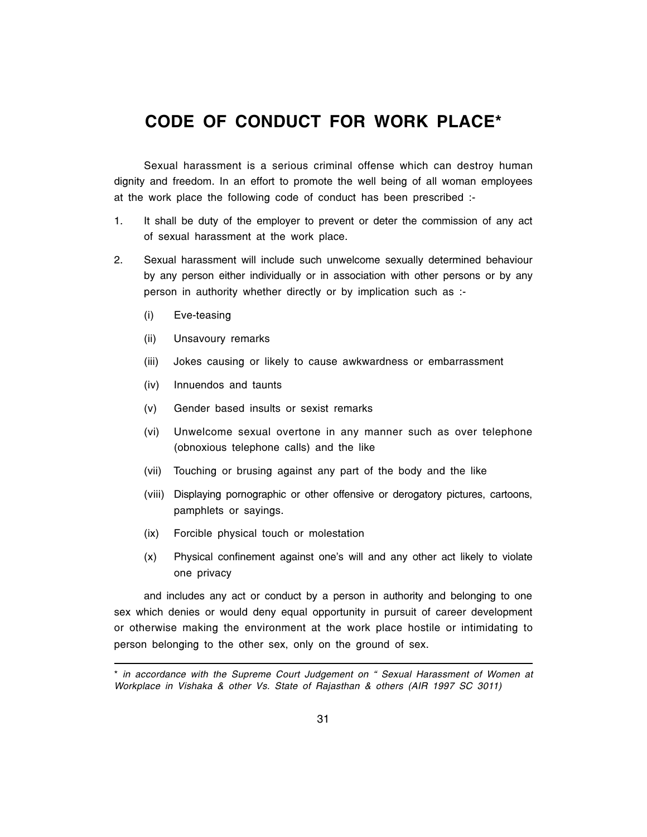# CODE OF CONDUCT FOR WORK PLACE\*

Sexual harassment is a serious criminal offense which can destroy human dignity and freedom. In an effort to promote the well being of all woman employees at the work place the following code of conduct has been prescribed :-

- 1. It shall be duty of the employer to prevent or deter the commission of any act of sexual harassment at the work place.
- 2. Sexual harassment will include such unwelcome sexually determined behaviour by any person either individually or in association with other persons or by any person in authority whether directly or by implication such as :-
	- (i) Eve-teasing
	- (ii) Unsavoury remarks
	- (iii) Jokes causing or likely to cause awkwardness or embarrassment
	- (iv) Innuendos and taunts
	- (v) Gender based insults or sexist remarks
	- (vi) Unwelcome sexual overtone in any manner such as over telephone (obnoxious telephone calls) and the like
	- (vii) Touching or brusing against any part of the body and the like
	- (viii) Displaying pornographic or other offensive or derogatory pictures, cartoons, pamphlets or sayings.
	- (ix) Forcible physical touch or molestation
	- $(x)$  Physical confinement against one's will and any other act likely to violate one privacy

and includes any act or conduct by a person in authority and belonging to one sex which denies or would deny equal opportunity in pursuit of career development or otherwise making the environment at the work place hostile or intimidating to person belonging to the other sex, only on the ground of sex.

<sup>\*</sup> in accordance with the Supreme Court Judgement on " Sexual Harassment of Women at Workplace in Vishaka & other Vs. State of Rajasthan & others (AIR 1997 SC 3011)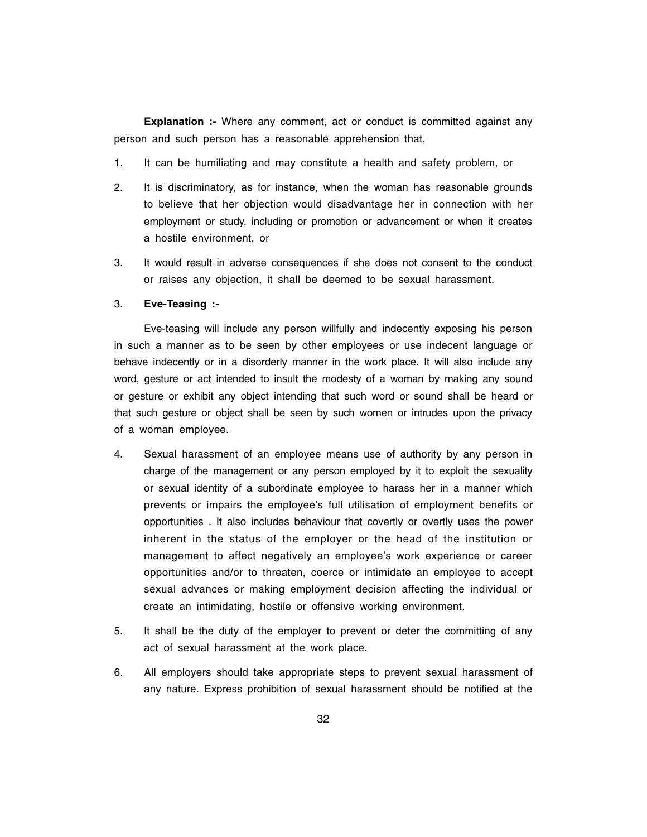Explanation :- Where any comment, act or conduct is committed against any person and such person has a reasonable apprehension that,

- 1. It can be humiliating and may constitute a health and safety problem, or
- 2. It is discriminatory, as for instance, when the woman has reasonable grounds to believe that her objection would disadvantage her in connection with her employment or study, including or promotion or advancement or when it creates a hostile environment, or
- 3. It would result in adverse consequences if she does not consent to the conduct or raises any objection, it shall be deemed to be sexual harassment.

#### 3. Eve-Teasing :-

Eve-teasing will include any person willfully and indecently exposing his person in such a manner as to be seen by other employees or use indecent language or behave indecently or in a disorderly manner in the work place. It will also include any word, gesture or act intended to insult the modesty of a woman by making any sound or gesture or exhibit any object intending that such word or sound shall be heard or that such gesture or object shall be seen by such women or intrudes upon the privacy of a woman employee.

- 4. Sexual harassment of an employee means use of authority by any person in charge of the management or any person employed by it to exploit the sexuality or sexual identity of a subordinate employee to harass her in a manner which prevents or impairs the employee's full utilisation of employment benefits or opportunities . It also includes behaviour that covertly or overtly uses the power inherent in the status of the employer or the head of the institution or management to affect negatively an employee's work experience or career opportunities and/or to threaten, coerce or intimidate an employee to accept sexual advances or making employment decision affecting the individual or create an intimidating, hostile or offensive working environment.
- 5. It shall be the duty of the employer to prevent or deter the committing of any act of sexual harassment at the work place.
- 6. All employers should take appropriate steps to prevent sexual harassment of any nature. Express prohibition of sexual harassment should be notified at the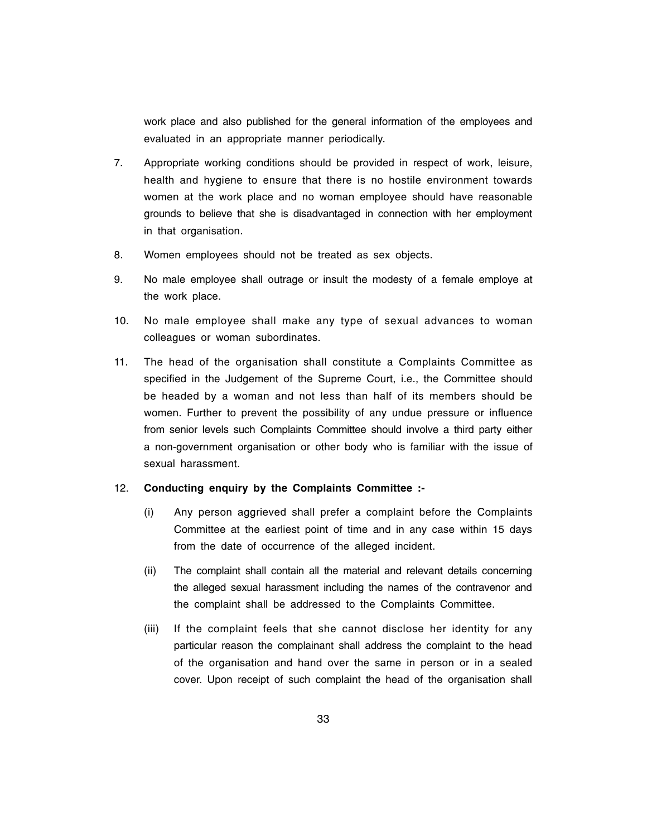work place and also published for the general information of the employees and evaluated in an appropriate manner periodically.

- 7. Appropriate working conditions should be provided in respect of work, leisure, health and hygiene to ensure that there is no hostile environment towards women at the work place and no woman employee should have reasonable grounds to believe that she is disadvantaged in connection with her employment in that organisation.
- 8. Women employees should not be treated as sex objects.
- 9. No male employee shall outrage or insult the modesty of a female employe at the work place.
- 10. No male employee shall make any type of sexual advances to woman colleagues or woman subordinates.
- 11. The head of the organisation shall constitute a Complaints Committee as specified in the Judgement of the Supreme Court, i.e., the Committee should be headed by a woman and not less than half of its members should be women. Further to prevent the possibility of any undue pressure or influence from senior levels such Complaints Committee should involve a third party either a non-government organisation or other body who is familiar with the issue of sexual harassment.

# 12. Conducting enquiry by the Complaints Committee :-

- (i) Any person aggrieved shall prefer a complaint before the Complaints Committee at the earliest point of time and in any case within 15 days from the date of occurrence of the alleged incident.
- (ii) The complaint shall contain all the material and relevant details concerning the alleged sexual harassment including the names of the contravenor and the complaint shall be addressed to the Complaints Committee.
- (iii) If the complaint feels that she cannot disclose her identity for any particular reason the complainant shall address the complaint to the head of the organisation and hand over the same in person or in a sealed cover. Upon receipt of such complaint the head of the organisation shall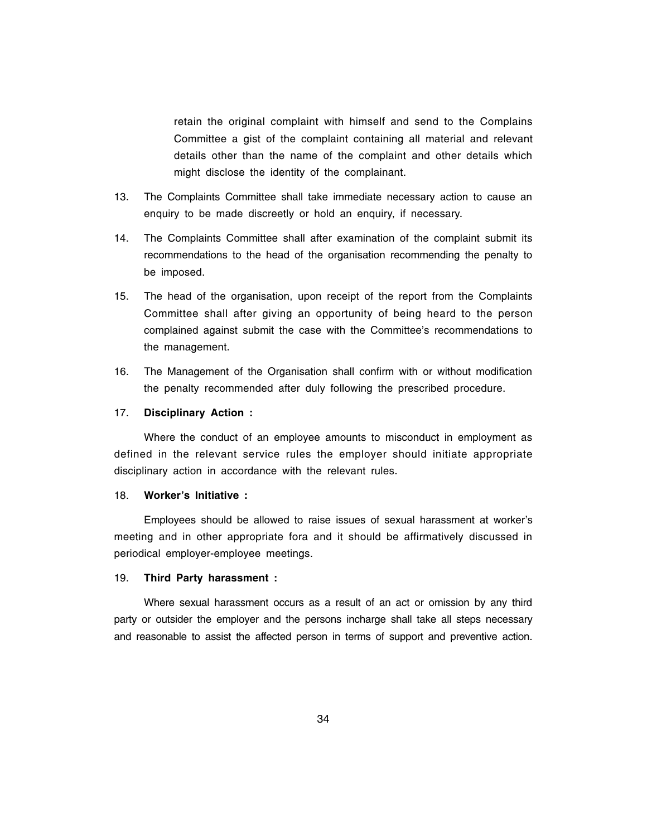retain the original complaint with himself and send to the Complains Committee a gist of the complaint containing all material and relevant details other than the name of the complaint and other details which might disclose the identity of the complainant.

- 13. The Complaints Committee shall take immediate necessary action to cause an enquiry to be made discreetly or hold an enquiry, if necessary.
- 14. The Complaints Committee shall after examination of the complaint submit its recommendations to the head of the organisation recommending the penalty to be imposed.
- 15. The head of the organisation, upon receipt of the report from the Complaints Committee shall after giving an opportunity of being heard to the person complained against submit the case with the Committee's recommendations to the management.
- 16. The Management of the Organisation shall confirm with or without modification the penalty recommended after duly following the prescribed procedure.

## 17. Disciplinary Action :

Where the conduct of an employee amounts to misconduct in employment as defined in the relevant service rules the employer should initiate appropriate disciplinary action in accordance with the relevant rules.

# 18. Worker's Initiative :

Employees should be allowed to raise issues of sexual harassment at worker's meeting and in other appropriate fora and it should be affirmatively discussed in periodical employer-employee meetings.

#### 19. Third Party harassment :

Where sexual harassment occurs as a result of an act or omission by any third party or outsider the employer and the persons incharge shall take all steps necessary and reasonable to assist the affected person in terms of support and preventive action.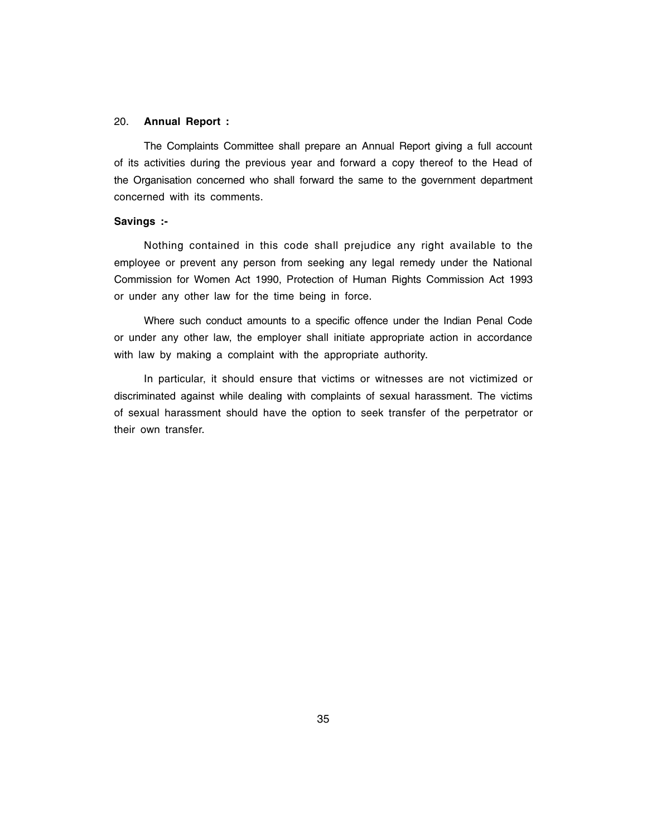# 20. Annual Report :

The Complaints Committee shall prepare an Annual Report giving a full account of its activities during the previous year and forward a copy thereof to the Head of the Organisation concerned who shall forward the same to the government department concerned with its comments.

# Savings :-

Nothing contained in this code shall prejudice any right available to the employee or prevent any person from seeking any legal remedy under the National Commission for Women Act 1990, Protection of Human Rights Commission Act 1993 or under any other law for the time being in force.

Where such conduct amounts to a specific offence under the Indian Penal Code or under any other law, the employer shall initiate appropriate action in accordance with law by making a complaint with the appropriate authority.

In particular, it should ensure that victims or witnesses are not victimized or discriminated against while dealing with complaints of sexual harassment. The victims of sexual harassment should have the option to seek transfer of the perpetrator or their own transfer.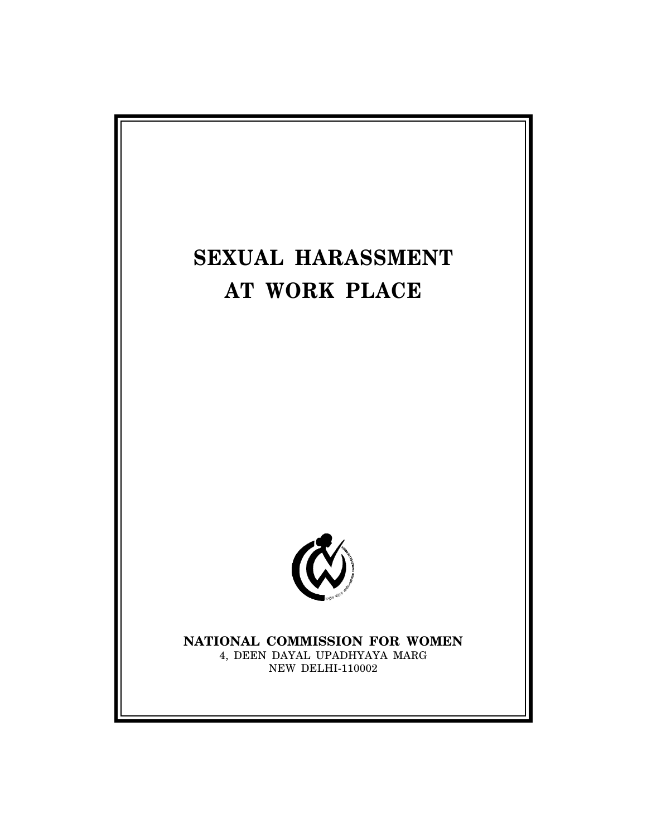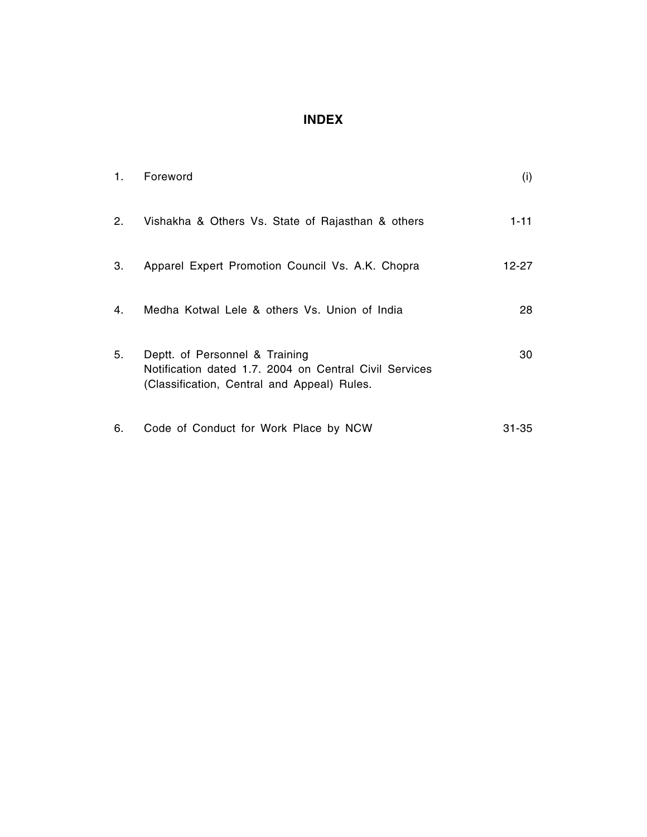# INDEX

| 1 <sub>1</sub> | Foreword                                                                                                                                | (i)       |
|----------------|-----------------------------------------------------------------------------------------------------------------------------------------|-----------|
| 2.             | Vishakha & Others Vs. State of Rajasthan & others                                                                                       | $1 - 11$  |
| 3.             | Apparel Expert Promotion Council Vs. A.K. Chopra                                                                                        | $12 - 27$ |
| 4.             | Medha Kotwal Lele & others Vs. Union of India                                                                                           | 28        |
| 5.             | Deptt. of Personnel & Training<br>Notification dated 1.7. 2004 on Central Civil Services<br>(Classification, Central and Appeal) Rules. | 30        |
| 6.             | Code of Conduct for Work Place by NCW                                                                                                   | 31-35     |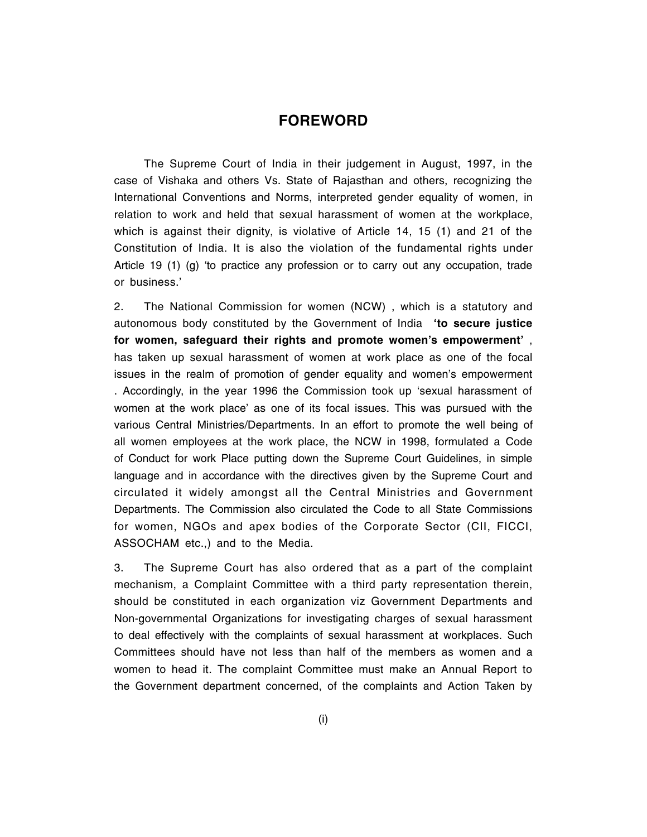# FOREWORD

The Supreme Court of India in their judgement in August, 1997, in the case of Vishaka and others Vs. State of Rajasthan and others, recognizing the International Conventions and Norms, interpreted gender equality of women, in relation to work and held that sexual harassment of women at the workplace, which is against their dignity, is violative of Article 14, 15 (1) and 21 of the Constitution of India. It is also the violation of the fundamental rights under Article 19 (1) (g) 'to practice any profession or to carry out any occupation, trade or business.

2. The National Commission for women (NCW) , which is a statutory and autonomous body constituted by the Government of India "to secure justice for women, safeguard their rights and promote women's empowerment', has taken up sexual harassment of women at work place as one of the focal issues in the realm of promotion of gender equality and women's empowerment . Accordingly, in the year 1996 the Commission took up 'sexual harassment of women at the work place' as one of its focal issues. This was pursued with the various Central Ministries/Departments. In an effort to promote the well being of all women employees at the work place, the NCW in 1998, formulated a Code of Conduct for work Place putting down the Supreme Court Guidelines, in simple language and in accordance with the directives given by the Supreme Court and circulated it widely amongst all the Central Ministries and Government Departments. The Commission also circulated the Code to all State Commissions for women, NGOs and apex bodies of the Corporate Sector (CII, FICCI, ASSOCHAM etc.,) and to the Media.

3. The Supreme Court has also ordered that as a part of the complaint mechanism, a Complaint Committee with a third party representation therein, should be constituted in each organization viz Government Departments and Non-governmental Organizations for investigating charges of sexual harassment to deal effectively with the complaints of sexual harassment at workplaces. Such Committees should have not less than half of the members as women and a women to head it. The complaint Committee must make an Annual Report to the Government department concerned, of the complaints and Action Taken by